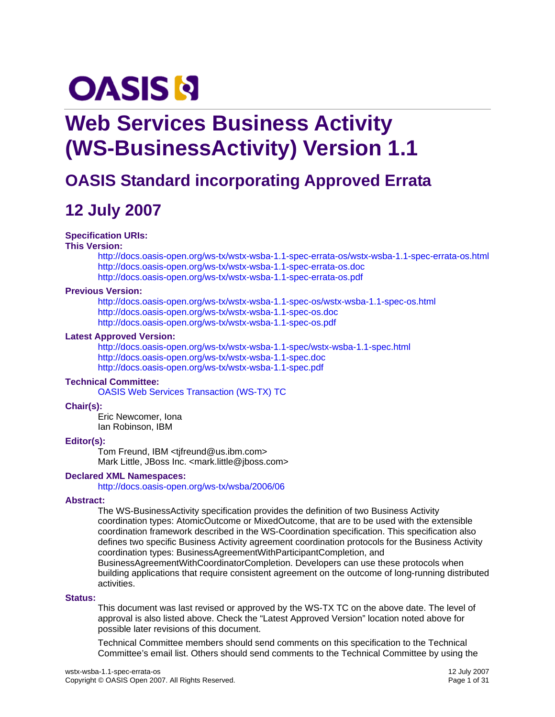# **OASIS N**

## **Web Services Business Activity (WS-BusinessActivity) Version 1.1**

## **OASIS Standard incorporating Approved Errata**

## **12 July 2007**

### **Specification URIs:**

### **This Version:**

<http://docs.oasis-open.org/ws-tx/wstx-wsba-1.1-spec-errata-os/wstx-wsba-1.1-spec-errata-os.html> <http://docs.oasis-open.org/ws-tx/wstx-wsba-1.1-spec-errata-os.doc> <http://docs.oasis-open.org/ws-tx/wstx-wsba-1.1-spec-errata-os.pdf>

### **Previous Version:**

<http://docs.oasis-open.org/ws-tx/wstx-wsba-1.1-spec-os/wstx-wsba-1.1-spec-os.html> <http://docs.oasis-open.org/ws-tx/wstx-wsba-1.1-spec-os.doc> <http://docs.oasis-open.org/ws-tx/wstx-wsba-1.1-spec-os.pdf>

### **Latest Approved Version:**

<http://docs.oasis-open.org/ws-tx/wstx-wsba-1.1-spec/wstx-wsba-1.1-spec.html> <http://docs.oasis-open.org/ws-tx/wstx-wsba-1.1-spec.doc> <http://docs.oasis-open.org/ws-tx/wstx-wsba-1.1-spec.pdf>

### **Technical Committee:**

[OASIS Web Services Transaction \(WS-TX\) TC](http://www.oasis-open.org/committees/ws-tx/)

### **Chair(s):**

Eric Newcomer, Iona Ian Robinson, IBM

### **Editor(s):**

Tom Freund, IBM <tjfreund@us.ibm.com> Mark Little, JBoss Inc. <mark.little@jboss.com>

### **Declared XML Namespaces:**

<http://docs.oasis-open.org/ws-tx/wsba/2006/06>

### **Abstract:**

The WS-BusinessActivity specification provides the definition of two Business Activity coordination types: AtomicOutcome or MixedOutcome, that are to be used with the extensible coordination framework described in the WS-Coordination specification. This specification also defines two specific Business Activity agreement coordination protocols for the Business Activity coordination types: BusinessAgreementWithParticipantCompletion, and BusinessAgreementWithCoordinatorCompletion. Developers can use these protocols when building applications that require consistent agreement on the outcome of long-running distributed

activities.

### **Status:**

This document was last revised or approved by the WS-TX TC on the above date. The level of approval is also listed above. Check the "Latest Approved Version" location noted above for possible later revisions of this document.

Technical Committee members should send comments on this specification to the Technical Committee's email list. Others should send comments to the Technical Committee by using the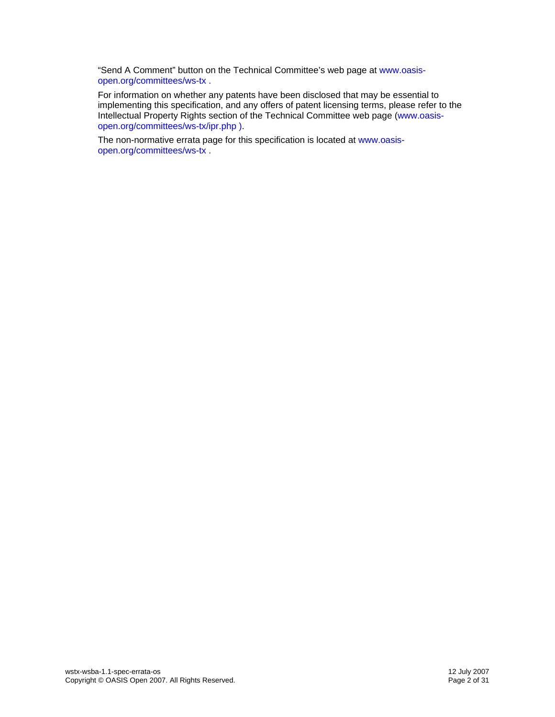"Send A Comment" button on the Technical Committee's web page at [www.oasis](http://www.oasis-open.org/committees/ws-tx)[open.org/committees/ws-tx](http://www.oasis-open.org/committees/ws-tx) .

For information on whether any patents have been disclosed that may be essential to implementing this specification, and any offers of patent licensing terms, please refer to the Intellectual Property Rights section of the Technical Committee web page ([www.oasis](http://www.oasis-open.org/committees/ws-tx/ipr.php)[open.org/committees/ws-tx/ipr.php](http://www.oasis-open.org/committees/ws-tx/ipr.php) ).

The non-normative errata page for this specification is located at [www.oasis](http://www.oasis-open.org/committees/ws-tx)[open.org/committees/ws-tx](http://www.oasis-open.org/committees/ws-tx) .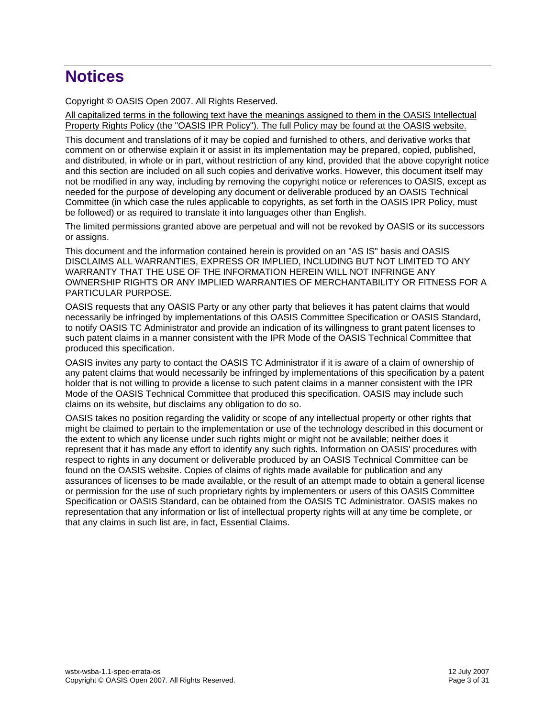## **Notices**

Copyright © OASIS Open 2007. All Rights Reserved.

All capitalized terms in the following text have the meanings assigned to them in the OASIS Intellectual Property Rights Policy (the "OASIS IPR Policy"). The full Policy may be found at the OASIS website.

This document and translations of it may be copied and furnished to others, and derivative works that comment on or otherwise explain it or assist in its implementation may be prepared, copied, published, and distributed, in whole or in part, without restriction of any kind, provided that the above copyright notice and this section are included on all such copies and derivative works. However, this document itself may not be modified in any way, including by removing the copyright notice or references to OASIS, except as needed for the purpose of developing any document or deliverable produced by an OASIS Technical Committee (in which case the rules applicable to copyrights, as set forth in the OASIS IPR Policy, must be followed) or as required to translate it into languages other than English.

The limited permissions granted above are perpetual and will not be revoked by OASIS or its successors or assigns.

This document and the information contained herein is provided on an "AS IS" basis and OASIS DISCLAIMS ALL WARRANTIES, EXPRESS OR IMPLIED, INCLUDING BUT NOT LIMITED TO ANY WARRANTY THAT THE USE OF THE INFORMATION HEREIN WILL NOT INFRINGE ANY OWNERSHIP RIGHTS OR ANY IMPLIED WARRANTIES OF MERCHANTABILITY OR FITNESS FOR A PARTICULAR PURPOSE.

OASIS requests that any OASIS Party or any other party that believes it has patent claims that would necessarily be infringed by implementations of this OASIS Committee Specification or OASIS Standard, to notify OASIS TC Administrator and provide an indication of its willingness to grant patent licenses to such patent claims in a manner consistent with the IPR Mode of the OASIS Technical Committee that produced this specification.

OASIS invites any party to contact the OASIS TC Administrator if it is aware of a claim of ownership of any patent claims that would necessarily be infringed by implementations of this specification by a patent holder that is not willing to provide a license to such patent claims in a manner consistent with the IPR Mode of the OASIS Technical Committee that produced this specification. OASIS may include such claims on its website, but disclaims any obligation to do so.

OASIS takes no position regarding the validity or scope of any intellectual property or other rights that might be claimed to pertain to the implementation or use of the technology described in this document or the extent to which any license under such rights might or might not be available; neither does it represent that it has made any effort to identify any such rights. Information on OASIS' procedures with respect to rights in any document or deliverable produced by an OASIS Technical Committee can be found on the OASIS website. Copies of claims of rights made available for publication and any assurances of licenses to be made available, or the result of an attempt made to obtain a general license or permission for the use of such proprietary rights by implementers or users of this OASIS Committee Specification or OASIS Standard, can be obtained from the OASIS TC Administrator. OASIS makes no representation that any information or list of intellectual property rights will at any time be complete, or that any claims in such list are, in fact, Essential Claims.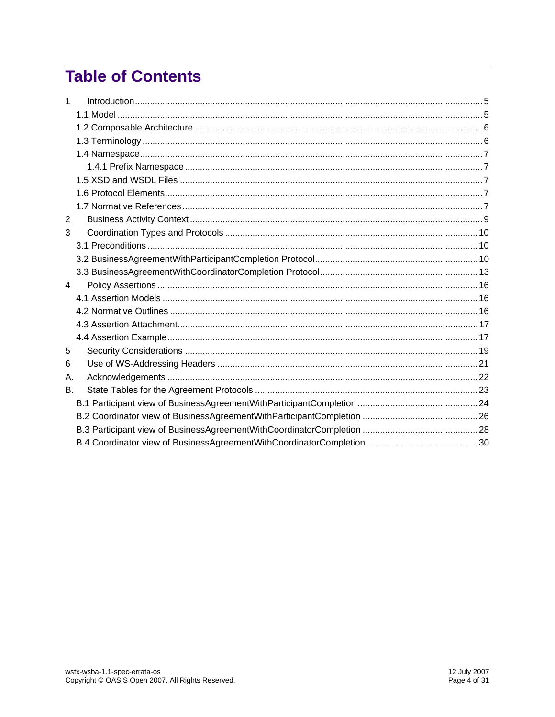## **Table of Contents**

| 1  |  |
|----|--|
|    |  |
|    |  |
|    |  |
|    |  |
|    |  |
|    |  |
|    |  |
|    |  |
| 2  |  |
| 3  |  |
|    |  |
|    |  |
|    |  |
| 4  |  |
|    |  |
|    |  |
|    |  |
|    |  |
| 5  |  |
| 6  |  |
| А. |  |
| В. |  |
|    |  |
|    |  |
|    |  |
|    |  |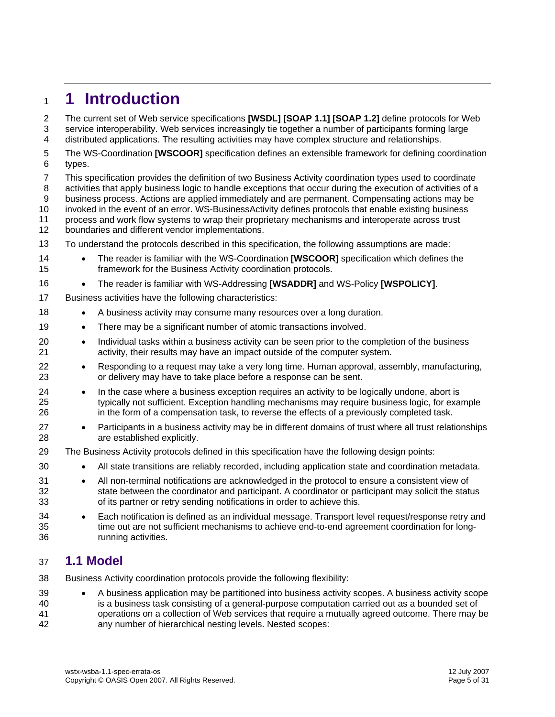## <span id="page-4-0"></span><sup>1</sup>**1 Introduction**

The current set of Web service specifications **[\[WSDL\]](#page-7-0) [\[SOAP 1.1\]](#page-6-1) [\[SOAP 1.2\]](#page-6-2)** define protocols for Web service interoperability. Web services increasingly tie together a number of participants forming large distributed applications. The resulting activities may have complex structure and relationships. 2 3 4

- 5 6 The WS-Coordination **[\[WSCOOR\]](#page-6-3)** specification defines an extensible framework for defining coordination types.
- 7 8 9 10 This specification provides the definition of two Business Activity coordination types used to coordinate activities that apply business logic to handle exceptions that occur during the execution of activities of a business process. Actions are applied immediately and are permanent. Compensating actions may be invoked in the event of an error. WS-BusinessActivity defines protocols that enable existing business
- 11 process and work flow systems to wrap their proprietary mechanisms and interoperate across trust
- 12 boundaries and different vendor implementations.
- 13 To understand the protocols described in this specification, the following assumptions are made:
- 14 15 • The reader is familiar with the WS-Coordination **[\[WSCOOR\]](#page-6-3)** specification which defines the framework for the Business Activity coordination protocols.
- 16 • The reader is familiar with WS-Addressing **[\[WSADDR\]](#page-7-1)** and WS-Policy **[\[WSPOLICY\]](#page-7-2)**.
- 17 Business activities have the following characteristics:
- 18 • A business activity may consume many resources over a long duration.
- 19 • There may be a significant number of atomic transactions involved.
- 20 21 • Individual tasks within a business activity can be seen prior to the completion of the business activity, their results may have an impact outside of the computer system.
- 22 23 • Responding to a request may take a very long time. Human approval, assembly, manufacturing, or delivery may have to take place before a response can be sent.
- 24 25 26 • In the case where a business exception requires an activity to be logically undone, abort is typically not sufficient. Exception handling mechanisms may require business logic, for example in the form of a compensation task, to reverse the effects of a previously completed task.
- 27 28 • Participants in a business activity may be in different domains of trust where all trust relationships are established explicitly.
- 29 The Business Activity protocols defined in this specification have the following design points:
	- All state transitions are reliably recorded, including application state and coordination metadata.
- 31 32 33 • All non-terminal notifications are acknowledged in the protocol to ensure a consistent view of state between the coordinator and participant. A coordinator or participant may solicit the status of its partner or retry sending notifications in order to achieve this.
- 34 35 36 • Each notification is defined as an individual message. Transport level request/response retry and time out are not sufficient mechanisms to achieve end-to-end agreement coordination for longrunning activities.

### 37 **1.1 Model**

- 38 Business Activity coordination protocols provide the following flexibility:
- 39 40 41 42 • A business application may be partitioned into business activity scopes. A business activity scope is a business task consisting of a general-purpose computation carried out as a bounded set of operations on a collection of Web services that require a mutually agreed outcome. There may be any number of hierarchical nesting levels. Nested scopes: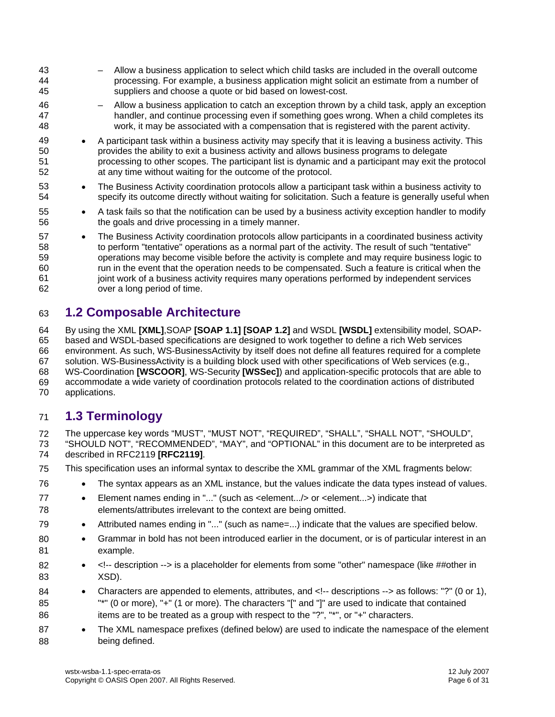<span id="page-5-0"></span>43 44 45 46 47 48 49 50 51 52 53 54 55 56 57 58 59 60 61 62 – Allow a business application to select which child tasks are included in the overall outcome processing. For example, a business application might solicit an estimate from a number of suppliers and choose a quote or bid based on lowest-cost. – Allow a business application to catch an exception thrown by a child task, apply an exception handler, and continue processing even if something goes wrong. When a child completes its work, it may be associated with a compensation that is registered with the parent activity. • A participant task within a business activity may specify that it is leaving a business activity. This provides the ability to exit a business activity and allows business programs to delegate processing to other scopes. The participant list is dynamic and a participant may exit the protocol at any time without waiting for the outcome of the protocol. • The Business Activity coordination protocols allow a participant task within a business activity to specify its outcome directly without waiting for solicitation. Such a feature is generally useful when • A task fails so that the notification can be used by a business activity exception handler to modify the goals and drive processing in a timely manner. • The Business Activity coordination protocols allow participants in a coordinated business activity to perform "tentative" operations as a normal part of the activity. The result of such "tentative" operations may become visible before the activity is complete and may require business logic to run in the event that the operation needs to be compensated. Such a feature is critical when the joint work of a business activity requires many operations performed by independent services over a long period of time.

## 63 **1.2 Composable Architecture**

64 65 66 67 68 69 70 By using the XML **[\[XML\]](#page-6-4)**,SOAP **[\[SOAP 1.1\]](#page-6-1) [\[SOAP 1.2\]](#page-6-2)** and WSDL **[\[WSDL\]](#page-7-0)** extensibility model, SOAPbased and WSDL-based specifications are designed to work together to define a rich Web services environment. As such, WS-BusinessActivity by itself does not define all features required for a complete solution. WS-BusinessActivity is a building block used with other specifications of Web services (e.g., WS-Coordination **[\[WSCOOR\]](#page-6-3)**, WS-Security **[\[WSSec\]](#page-7-3)**) and application-specific protocols that are able to accommodate a wide variety of coordination protocols related to the coordination actions of distributed applications.

## 71 **1.3 Terminology**

77 78

72 The uppercase key words "MUST", "MUST NOT", "REQUIRED", "SHALL", "SHALL NOT", "SHOULD",

73 74 "SHOULD NOT", "RECOMMENDED", "MAY", and "OPTIONAL" in this document are to be interpreted as described in RFC2119 **[\[RFC2119\]](#page-6-5)**.

- 75 This specification uses an informal syntax to describe the XML grammar of the XML fragments below:
- 76 • The syntax appears as an XML instance, but the values indicate the data types instead of values.
	- Element names ending in "..." (such as <element.../> or <element...>) indicate that elements/attributes irrelevant to the context are being omitted.
- 79 • Attributed names ending in "..." (such as name=...) indicate that the values are specified below.
- 80 81 • Grammar in bold has not been introduced earlier in the document, or is of particular interest in an example.
- 82 83 •  $\leq$ !-- description --> is a placeholder for elements from some "other" namespace (like ##other in XSD).
- 84 85 86 • Characters are appended to elements, attributes, and <!-- descriptions --> as follows: "?" (0 or 1), "\*" (0 or more), "+" (1 or more). The characters "[" and "]" are used to indicate that contained items are to be treated as a group with respect to the "?", "\*", or "+" characters.
- 87 88 • The XML namespace prefixes (defined below) are used to indicate the namespace of the element being defined.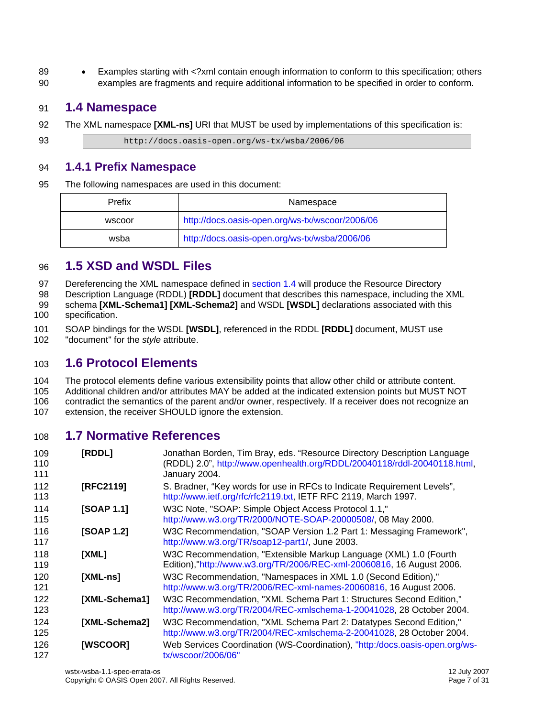<span id="page-6-0"></span>89 90 • Examples starting with <?xml contain enough information to conform to this specification; others examples are fragments and require additional information to be specified in order to conform.

## 91 **1.4 Namespace**

92 The XML namespace **[\[XML-ns\]](#page-6-6)** URI that MUST be used by implementations of this specification is:

93 http://docs.oasis-open.org/ws-tx/wsba/2006/06

### 94 **1.4.1 Prefix Namespace**

95 The following namespaces are used in this document:

| Prefix | Namespace                                       |  |  |  |  |  |
|--------|-------------------------------------------------|--|--|--|--|--|
| wscoor | http://docs.oasis-open.org/ws-tx/wscoor/2006/06 |  |  |  |  |  |
| wsba   | http://docs.oasis-open.org/ws-tx/wsba/2006/06   |  |  |  |  |  |

## 96 **1.5 XSD and WSDL Files**

[Dereferencing the XML namespace defined in section 1.4 will produce the Resource Directory](#page-6-0)  97

Description Language (RDDL) **[RDDL]** [document that describes this namespace, including the XML](#page-6-0)  schema **[XML-Schema1] [\[XML-Schema2\]](#page-6-7)** and WSDL **[WSDL]** [declarations associated with this](#page-6-0)  98 99

[specification.](#page-6-0)  100

101 102 SOAP bindings for the WSDL **[\[WSDL\]](#page-7-0)**, referenced in the RDDL **[\[RDDL\]](#page-6-7)** document, MUST use "document" for the *style* attribute.

## 103 **1.6 Protocol Elements**

104 105 106 107 The protocol elements define various extensibility points that allow other child or attribute content. Additional children and/or attributes MAY be added at the indicated extension points but MUST NOT contradict the semantics of the parent and/or owner, respectively. If a receiver does not recognize an extension, the receiver SHOULD ignore the extension.

## 108 **1.7 Normative References**

<span id="page-6-9"></span><span id="page-6-8"></span><span id="page-6-7"></span><span id="page-6-6"></span><span id="page-6-5"></span><span id="page-6-4"></span><span id="page-6-3"></span><span id="page-6-2"></span><span id="page-6-1"></span>109 110 111 112 113 114 115 116 117 118 119 120 121 122 123 124 125 126 127 **[RDDL]** Jonathan Borden, Tim Bray, eds. "Resource Directory Description Language (RDDL) 2.0", [http://www.openhealth.org/RDDL/20040118/rddl-20040118.html,](http://www.openhealth.org/RDDL/20040118/rddl-20040118.html) January 2004. **[RFC2119]** S. Bradner, "Key words for use in RFCs to Indicate Requirement Levels", <http://www.ietf.org/rfc/rfc2119.txt>, IETF RFC 2119, March 1997. **[SOAP 1.1]** W3C Note, "SOAP: Simple Object Access Protocol 1.1," [http://www.w3.org/TR/2000/NOTE-SOAP-20000508/,](http://www.w3.org/TR/2000/NOTE-SOAP-20000508/) 08 May 2000. **[SOAP 1.2]** W3C Recommendation, "SOAP Version 1.2 Part 1: Messaging Framework", <http://www.w3.org/TR/soap12-part1/>, June 2003. **[XML]** W3C Recommendation, "Extensible Markup Language (XML) 1.0 (Fourth Edition),["http://www.w3.org/TR/2006/REC-xml-20060816](http://www.w3.org/TR/2006/REC-xml-20060816), 16 August 2006. **[XML-ns]** W3C Recommendation, "Namespaces in XML 1.0 (Second Edition)," [http://www.w3.org/TR/2006/REC-xml-names-20060816,](http://www.w3.org/TR/2006/REC-xml-names-20060816) 16 August 2006. **[XML-Schema1]** W3C Recommendation, "XML Schema Part 1: Structures Second Edition," <http://www.w3.org/TR/2004/REC-xmlschema-1-20041028>, 28 October 2004. **[XML-Schema2]** W3C Recommendation, "XML Schema Part 2: Datatypes Second Edition," <http://www.w3.org/TR/2004/REC-xmlschema-2-20041028>, 28 October 2004. **[WSCOOR]** Web Services Coordination (WS-Coordination), ["http:/docs.oasis-open.org/ws](http://docs.oasis-open.org/ws-tx/wscoor/2006/06)[tx/wscoor/2006/06"](http://docs.oasis-open.org/ws-tx/wscoor/2006/06)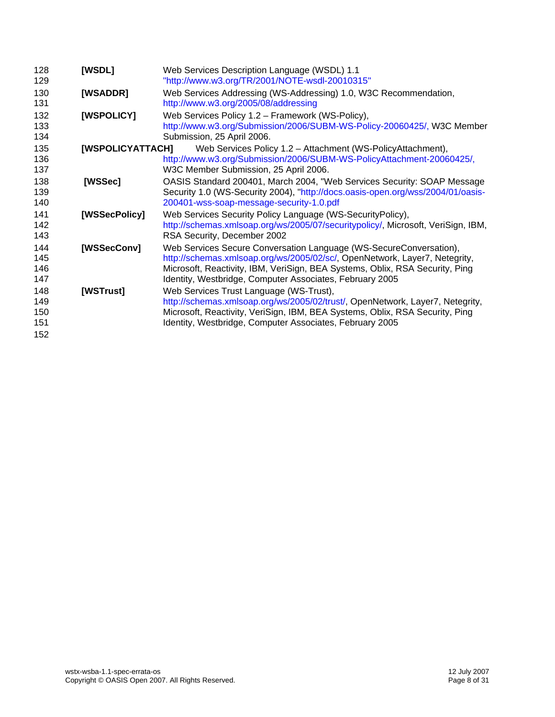<span id="page-7-7"></span><span id="page-7-6"></span><span id="page-7-5"></span><span id="page-7-4"></span><span id="page-7-3"></span><span id="page-7-2"></span><span id="page-7-1"></span><span id="page-7-0"></span>

| 128<br>129                      | [WSDL]           | Web Services Description Language (WSDL) 1.1<br>"http://www.w3.org/TR/2001/NOTE-wsdl-20010315"                                                                                                                                                                                               |
|---------------------------------|------------------|----------------------------------------------------------------------------------------------------------------------------------------------------------------------------------------------------------------------------------------------------------------------------------------------|
| 130<br>131                      | [WSADDR]         | Web Services Addressing (WS-Addressing) 1.0, W3C Recommendation,<br>http://www.w3.org/2005/08/addressing                                                                                                                                                                                     |
| 132<br>133<br>134               | [WSPOLICY]       | Web Services Policy 1.2 - Framework (WS-Policy),<br>http://www.w3.org/Submission/2006/SUBM-WS-Policy-20060425/, W3C Member<br>Submission, 25 April 2006.                                                                                                                                     |
| 135<br>136<br>137               | [WSPOLICYATTACH] | Web Services Policy 1.2 - Attachment (WS-PolicyAttachment),<br>http://www.w3.org/Submission/2006/SUBM-WS-PolicyAttachment-20060425/,<br>W3C Member Submission, 25 April 2006.                                                                                                                |
| 138<br>139<br>140               | [WSSec]          | OASIS Standard 200401, March 2004, "Web Services Security: SOAP Message<br>Security 1.0 (WS-Security 2004), "http://docs.oasis-open.org/wss/2004/01/oasis-<br>200401-wss-soap-message-security-1.0.pdf                                                                                       |
| 141<br>142<br>143               | [WSSecPolicy]    | Web Services Security Policy Language (WS-SecurityPolicy),<br>http://schemas.xmlsoap.org/ws/2005/07/securitypolicy/, Microsoft, VeriSign, IBM,<br>RSA Security, December 2002                                                                                                                |
| 144<br>145<br>146<br>147        | [WSSecConv]      | Web Services Secure Conversation Language (WS-SecureConversation),<br>http://schemas.xmlsoap.org/ws/2005/02/sc/, OpenNetwork, Layer7, Netegrity,<br>Microsoft, Reactivity, IBM, VeriSign, BEA Systems, Oblix, RSA Security, Ping<br>Identity, Westbridge, Computer Associates, February 2005 |
| 148<br>149<br>150<br>151<br>152 | [WSTrust]        | Web Services Trust Language (WS-Trust),<br>http://schemas.xmlsoap.org/ws/2005/02/trust/, OpenNetwork, Layer7, Netegrity,<br>Microsoft, Reactivity, VeriSign, IBM, BEA Systems, Oblix, RSA Security, Ping<br>Identity, Westbridge, Computer Associates, February 2005                         |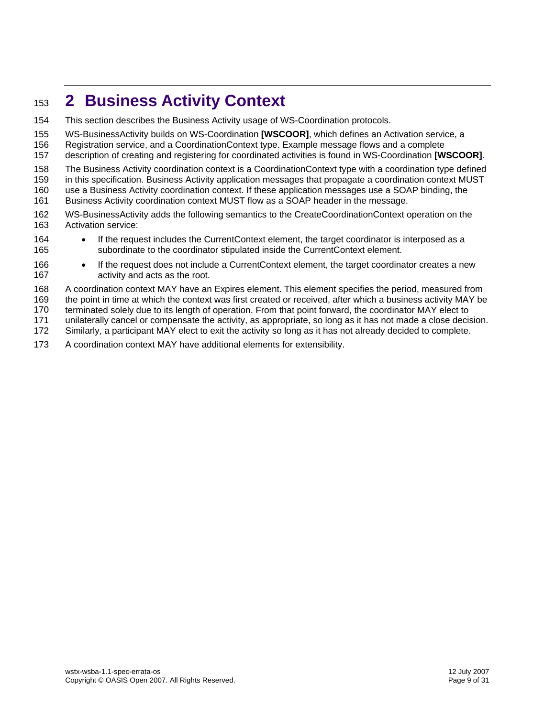## <span id="page-8-0"></span><sup>153</sup>**2 Business Activity Context**

- 154 This section describes the Business Activity usage of WS-Coordination protocols.
- 155 WS-BusinessActivity builds on WS-Coordination **[\[WSCOOR\]](#page-6-3)**, which defines an Activation service, a
- 156 Registration service, and a CoordinationContext type. Example message flows and a complete
- 157 description of creating and registering for coordinated activities is found in WS-Coordination **[\[WSCOOR\]](#page-6-3)**.
- 158 The Business Activity coordination context is a CoordinationContext type with a coordination type defined
- 159 in this specification. Business Activity application messages that propagate a coordination context MUST
- 160 use a Business Activity coordination context. If these application messages use a SOAP binding, the
- 161 Business Activity coordination context MUST flow as a SOAP header in the message.
- 162 163 WS-BusinessActivity adds the following semantics to the CreateCoordinationContext operation on the Activation service:
- 164 165 • If the request includes the CurrentContext element, the target coordinator is interposed as a subordinate to the coordinator stipulated inside the CurrentContext element.
- 166 167 If the request does not include a CurrentContext element, the target coordinator creates a new activity and acts as the root.
- 168 A coordination context MAY have an Expires element. This element specifies the period, measured from
- 169 the point in time at which the context was first created or received, after which a business activity MAY be
- 170 terminated solely due to its length of operation. From that point forward, the coordinator MAY elect to
- 171 unilaterally cancel or compensate the activity, as appropriate, so long as it has not made a close decision.
- 172 Similarly, a participant MAY elect to exit the activity so long as it has not already decided to complete.
- 173 A coordination context MAY have additional elements for extensibility.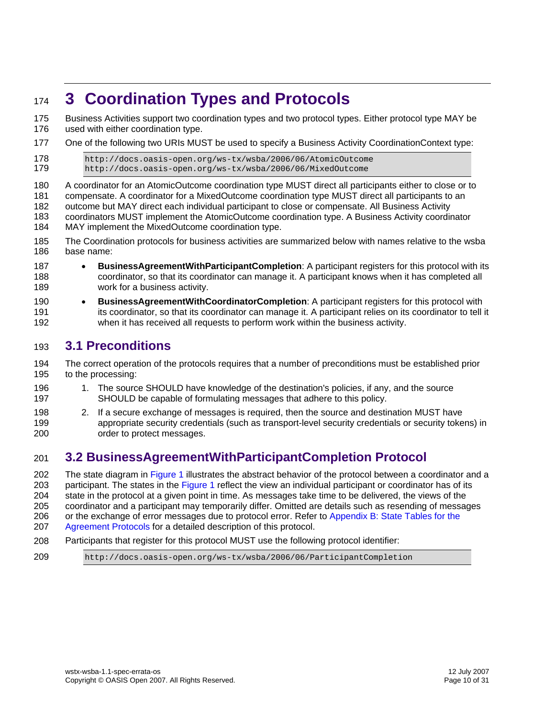## <span id="page-9-0"></span><sup>174</sup>**3 Coordination Types and Protocols**

Business Activities support two coordination types and two protocol types. Either protocol type MAY be used with either coordination type. 175 176

177 One of the following two URIs MUST be used to specify a Business Activity CoordinationContext type:

```
178 http://docs.oasis-open.org/ws-tx/wsba/2006/06/AtomicOutcome 
179 http://docs.oasis-open.org/ws-tx/wsba/2006/06/MixedOutcome
```
180 181 182 183 184 A coordinator for an AtomicOutcome coordination type MUST direct all participants either to close or to compensate. A coordinator for a MixedOutcome coordination type MUST direct all participants to an outcome but MAY direct each individual participant to close or compensate. All Business Activity coordinators MUST implement the AtomicOutcome coordination type. A Business Activity coordinator MAY implement the MixedOutcome coordination type.

- 185 186 The Coordination protocols for business activities are summarized below with names relative to the wsba base name:
- 187 188 189 • **BusinessAgreementWithParticipantCompletion**: A participant registers for this protocol with its coordinator, so that its coordinator can manage it. A participant knows when it has completed all work for a business activity.
- 190 191 192 • **BusinessAgreementWithCoordinatorCompletion**: A participant registers for this protocol with its coordinator, so that its coordinator can manage it. A participant relies on its coordinator to tell it when it has received all requests to perform work within the business activity.

## 193 **3.1 Preconditions**

194 195 The correct operation of the protocols requires that a number of preconditions must be established prior to the processing:

- 196 197 1. The source SHOULD have knowledge of the destination's policies, if any, and the source SHOULD be capable of formulating messages that adhere to this policy.
- 198 199 200 2. If a secure exchange of messages is required, then the source and destination MUST have appropriate security credentials (such as transport-level security credentials or security tokens) in order to protect messages.

## <span id="page-9-1"></span>201 **3.2 BusinessAgreementWithParticipantCompletion Protocol**

202 203 204 205 206 207 The state diagram in [Figure 1](#page-10-0) illustrates the abstract behavior of the protocol between a coordinator and a participant. The states in the [Figure 1](#page-10-0) reflect the view an individual participant or coordinator has of its state in the protocol at a given point in time. As messages take time to be delivered, the views of the coordinator and a participant may temporarily differ. Omitted are details such as resending of messages or the exchange of error messages due to protocol error. Refer to [Appendix B: State Tables for the](#page-22-0)  [Agreement Protocols](#page-22-0) for a detailed description of this protocol.

208 Participants that register for this protocol MUST use the following protocol identifier:

209 http://docs.oasis-open.org/ws-tx/wsba/2006/06/ParticipantCompletion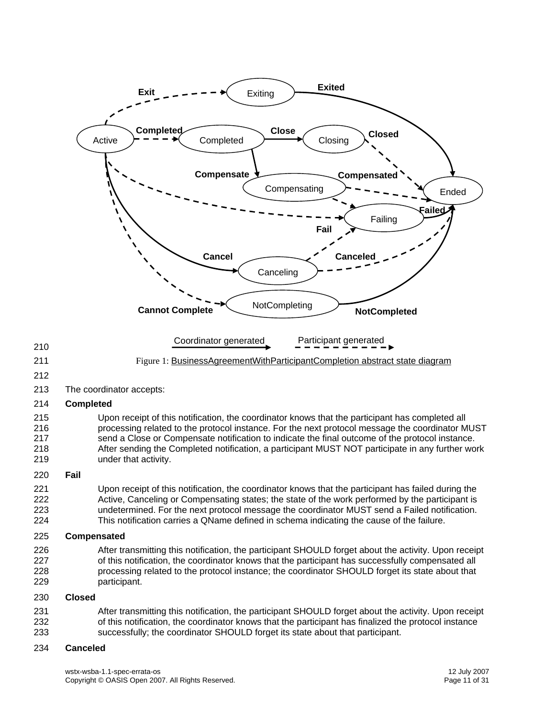<span id="page-10-0"></span>

#### 234 **Canceled**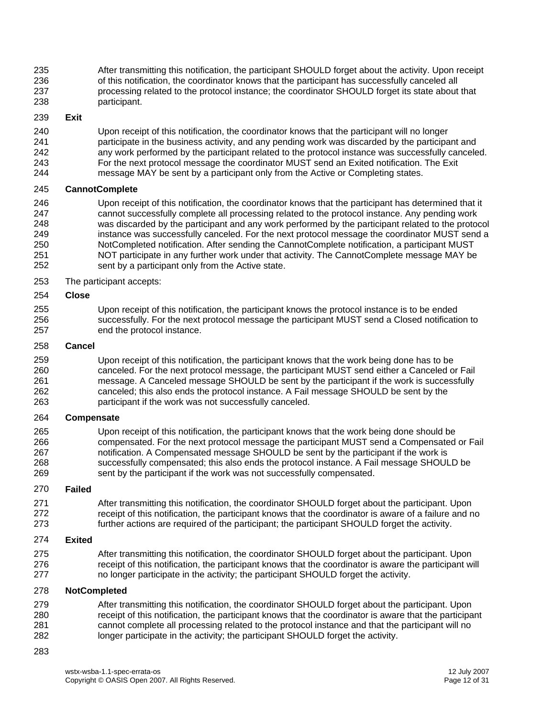235 236 237 238 After transmitting this notification, the participant SHOULD forget about the activity. Upon receipt of this notification, the coordinator knows that the participant has successfully canceled all processing related to the protocol instance; the coordinator SHOULD forget its state about that participant.

#### 239 **Exit**

240 241 242 243 244 Upon receipt of this notification, the coordinator knows that the participant will no longer participate in the business activity, and any pending work was discarded by the participant and any work performed by the participant related to the protocol instance was successfully canceled. For the next protocol message the coordinator MUST send an Exited notification. The Exit message MAY be sent by a participant only from the Active or Completing states.

#### 245 **CannotComplete**

246 247 248 249 250 251 252 Upon receipt of this notification, the coordinator knows that the participant has determined that it cannot successfully complete all processing related to the protocol instance. Any pending work was discarded by the participant and any work performed by the participant related to the protocol instance was successfully canceled. For the next protocol message the coordinator MUST send a NotCompleted notification. After sending the CannotComplete notification, a participant MUST NOT participate in any further work under that activity. The CannotComplete message MAY be sent by a participant only from the Active state.

253 The participant accepts:

#### 254 **Close**

255 256 257 Upon receipt of this notification, the participant knows the protocol instance is to be ended successfully. For the next protocol message the participant MUST send a Closed notification to end the protocol instance.

#### 258 **Cancel**

259 260 261 262 263 Upon receipt of this notification, the participant knows that the work being done has to be canceled. For the next protocol message, the participant MUST send either a Canceled or Fail message. A Canceled message SHOULD be sent by the participant if the work is successfully canceled; this also ends the protocol instance. A Fail message SHOULD be sent by the participant if the work was not successfully canceled.

#### 264 **Compensate**

265 266 267 268 269 Upon receipt of this notification, the participant knows that the work being done should be compensated. For the next protocol message the participant MUST send a Compensated or Fail notification. A Compensated message SHOULD be sent by the participant if the work is successfully compensated; this also ends the protocol instance. A Fail message SHOULD be sent by the participant if the work was not successfully compensated.

#### 270 **Failed**

271 272 273 After transmitting this notification, the coordinator SHOULD forget about the participant. Upon receipt of this notification, the participant knows that the coordinator is aware of a failure and no further actions are required of the participant; the participant SHOULD forget the activity.

#### 274 **Exited**

275 276 277 After transmitting this notification, the coordinator SHOULD forget about the participant. Upon receipt of this notification, the participant knows that the coordinator is aware the participant will no longer participate in the activity; the participant SHOULD forget the activity.

#### 278 **NotCompleted**

279 280 281 282 After transmitting this notification, the coordinator SHOULD forget about the participant. Upon receipt of this notification, the participant knows that the coordinator is aware that the participant cannot complete all processing related to the protocol instance and that the participant will no longer participate in the activity; the participant SHOULD forget the activity.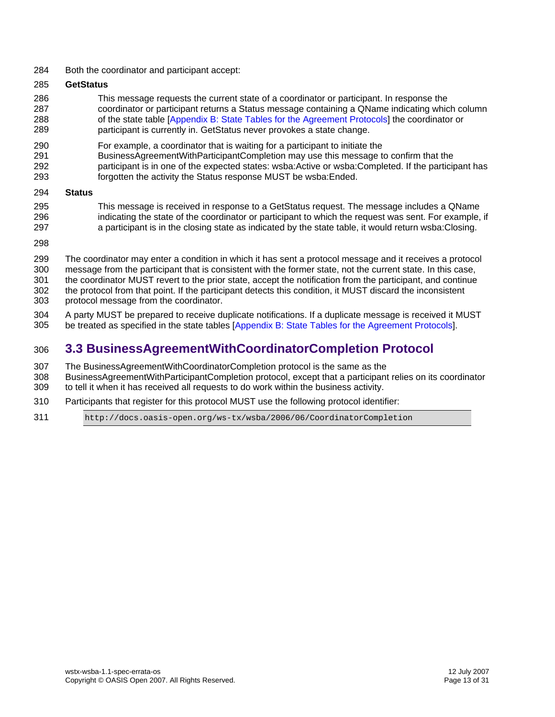<span id="page-12-0"></span>284 Both the coordinator and participant accept:

#### 285 **GetStatus**

- 286 287 288 289 This message requests the current state of a coordinator or participant. In response the coordinator or participant returns a Status message containing a QName indicating which column of the state table [[Appendix B: State Tables for the Agreement Protocols\]](#page-22-0) the coordinator or participant is currently in. GetStatus never provokes a state change.
- 290 For example, a coordinator that is waiting for a participant to initiate the
- 291 292 BusinessAgreementWithParticipantCompletion may use this message to confirm that the participant is in one of the expected states: wsba:Active or wsba:Completed. If the participant has
- 293 forgotten the activity the Status response MUST be wsba:Ended.
- 294 **Status**
- 295 296 297 This message is received in response to a GetStatus request. The message includes a QName indicating the state of the coordinator or participant to which the request was sent. For example, if a participant is in the closing state as indicated by the state table, it would return wsba:Closing.
- 298
- 299 300 301 302 303 The coordinator may enter a condition in which it has sent a protocol message and it receives a protocol message from the participant that is consistent with the former state, not the current state. In this case, the coordinator MUST revert to the prior state, accept the notification from the participant, and continue the protocol from that point. If the participant detects this condition, it MUST discard the inconsistent protocol message from the coordinator.
- 304 305 A party MUST be prepared to receive duplicate notifications. If a duplicate message is received it MUST be treated as specified in the state tables [\[Appendix B: State Tables for the Agreement Protocols](#page-22-0)].

## 306 **3.3 BusinessAgreementWithCoordinatorCompletion Protocol**

- 307 The BusinessAgreementWithCoordinatorCompletion protocol is the same as the
- 308 309 BusinessAgreementWithParticipantCompletion protocol, except that a participant relies on its coordinator to tell it when it has received all requests to do work within the business activity.
- 310 Participants that register for this protocol MUST use the following protocol identifier:
- 311 http://docs.oasis-open.org/ws-tx/wsba/2006/06/CoordinatorCompletion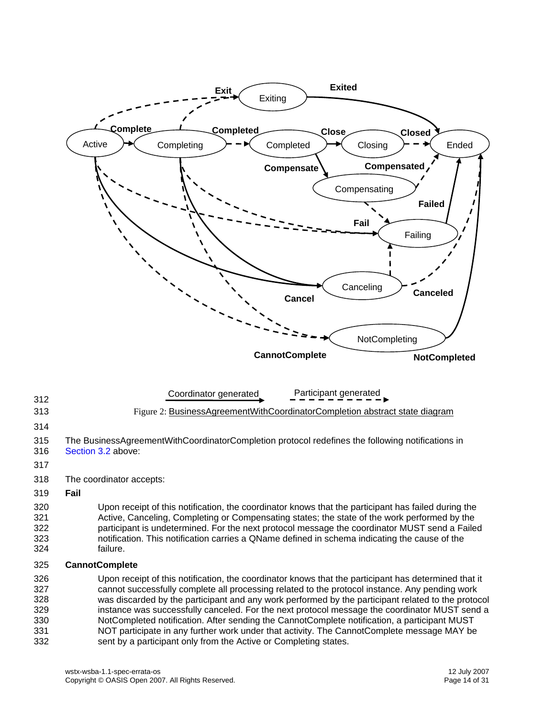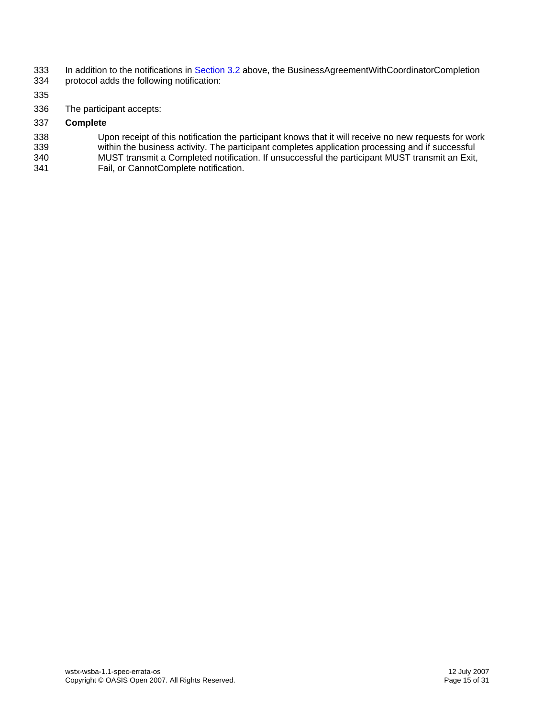- 333 334 In addition to the notifications in [Section 3.2](#page-9-0) [above,](#page-9-1) the BusinessAgreementWithCoordinatorCompletion protocol adds the following notification:
- 335
- 336 The participant accepts:
- 337 **Complete**
- 338 339 340 Upon receipt of this notification the participant knows that it will receive no new requests for work within the business activity. The participant completes application processing and if successful MUST transmit a Completed notification. If unsuccessful the participant MUST transmit an Exit,
- 341 Fail, or CannotComplete notification.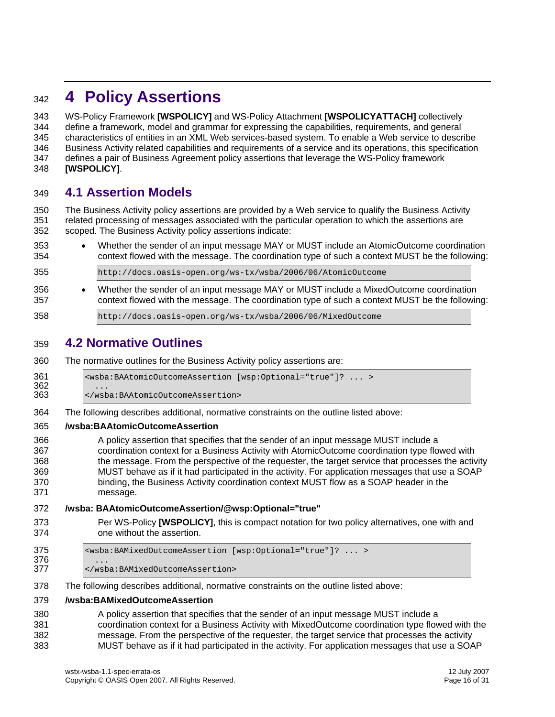## <span id="page-15-0"></span><sup>342</sup>**4 Policy Assertions**

WS-Policy Framework **[\[WSPOLICY\]](#page-7-2)** and WS-Policy Attachment **[\[WSPOLICYATTACH\]](#page-7-4)** collectively define a framework, model and grammar for expressing the capabilities, requirements, and general characteristics of entities in an XML Web services-based system. To enable a Web service to describe Business Activity related capabilities and requirements of a service and its operations, this specification defines a pair of Business Agreement policy assertions that leverage the WS-Policy framework 343 344 345 346 347 348 **[\[WSPOLICY\]](#page-7-2)**.

### 349 **4.1 Assertion Models**

350 351 352 The Business Activity policy assertions are provided by a Web service to qualify the Business Activity related processing of messages associated with the particular operation to which the assertions are scoped. The Business Activity policy assertions indicate:

353 354 • Whether the sender of an input message MAY or MUST include an AtomicOutcome coordination context flowed with the message. The coordination type of such a context MUST be the following:

355 http://docs.oasis-open.org/ws-tx/wsba/2006/06/AtomicOutcome

356 357 • Whether the sender of an input message MAY or MUST include a MixedOutcome coordination context flowed with the message. The coordination type of such a context MUST be the following:

358 http://docs.oasis-open.org/ws-tx/wsba/2006/06/MixedOutcome

## 359 **4.2 Normative Outlines**

360 The normative outlines for the Business Activity policy assertions are:

361 <wsba:BAAtomicOutcomeAssertion [wsp:Optional="true"]? ... >

 $362$  ...<br> $363$   $\le$ /wsb 363 </wsba:BAAtomicOutcomeAssertion>

364 The following describes additional, normative constraints on the outline listed above:

#### 365 **/wsba:BAAtomicOutcomeAssertion**

- 366 367 368 369 370 371 A policy assertion that specifies that the sender of an input message MUST include a coordination context for a Business Activity with AtomicOutcome coordination type flowed with the message. From the perspective of the requester, the target service that processes the activity MUST behave as if it had participated in the activity. For application messages that use a SOAP binding, the Business Activity coordination context MUST flow as a SOAP header in the message.
- 372 **/wsba: BAAtomicOutcomeAssertion/@wsp:Optional="true"**
- 373 374 Per WS-Policy **[\[WSPOLICY\]](#page-7-2)**, this is compact notation for two policy alternatives, one with and one without the assertion.
- 375 <wsba:BAMixedOutcomeAssertion [wsp:Optional="true"]? ... > 376<br>377 377 </wsba:BAMixedOutcomeAssertion>
- 378 The following describes additional, normative constraints on the outline listed above:

#### 379 **/wsba:BAMixedOutcomeAssertion**

380 381 382 383 A policy assertion that specifies that the sender of an input message MUST include a coordination context for a Business Activity with MixedOutcome coordination type flowed with the message. From the perspective of the requester, the target service that processes the activity MUST behave as if it had participated in the activity. For application messages that use a SOAP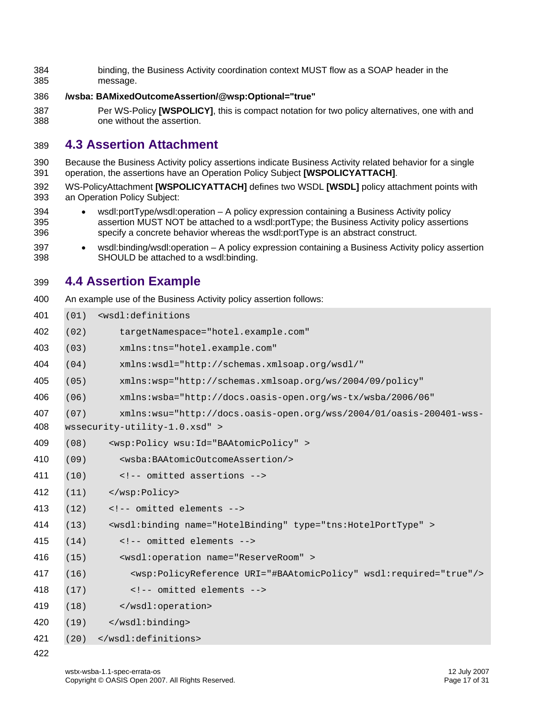<span id="page-16-0"></span> binding, the Business Activity coordination context MUST flow as a SOAP header in the message.

#### **/wsba: BAMixedOutcomeAssertion/@wsp:Optional="true"**

 Per WS-Policy **[\[WSPOLICY\]](#page-7-2)**, this is compact notation for two policy alternatives, one with and one without the assertion.

## **4.3 Assertion Attachment**

- Because the Business Activity policy assertions indicate Business Activity related behavior for a single operation, the assertions have an Operation Policy Subject **[\[WSPOLICYATTACH\]](#page-7-4)**.
- WS-PolicyAttachment **[\[WSPOLICYATTACH\]](#page-7-4)** defines two WSDL **[\[WSDL\]](#page-7-0)** policy attachment points with an Operation Policy Subject:
- • wsdl:portType/wsdl:operation – A policy expression containing a Business Activity policy assertion MUST NOT be attached to a wsdl:portType; the Business Activity policy assertions specify a concrete behavior whereas the wsdl:portType is an abstract construct.
- • wsdl:binding/wsdl:operation – A policy expression containing a Business Activity policy assertion SHOULD be attached to a wsdl:binding.

## **4.4 Assertion Example**

 An example use of the Business Activity policy assertion follows:

(01) <wsdl:definitions (02) targetNamespace="hotel.example.com" (03) xmlns:tns="hotel.example.com" (04) xmlns:wsdl="http://schemas.xmlsoap.org/wsdl/" (05) xmlns:wsp="http://schemas.xmlsoap.org/ws/2004/09/policy" (06) xmlns:wsba="http://docs.oasis-open.org/ws-tx/wsba/2006/06" (07) xmlns:wsu="http://docs.oasis-open.org/wss/2004/01/oasis-200401-wss-wssecurity-utility-1.0.xsd" > (08) <wsp:Policy wsu:Id="BAAtomicPolicy" > (09) <wsba:BAAtomicOutcomeAssertion/> (10) <!-- omitted assertions --> (11) </wsp:Policy> (12) <!-- omitted elements --> (13) <wsdl:binding name="HotelBinding" type="tns:HotelPortType" > (14) <!-- omitted elements --> (15) <wsdl:operation name="ReserveRoom" > (16) <wsp:PolicyReference URI="#BAAtomicPolicy" wsdl:required="true"/> (17) <!-- omitted elements --> (18) </wsdl:operation> (19) </wsdl:binding> (20) </wsdl:definitions>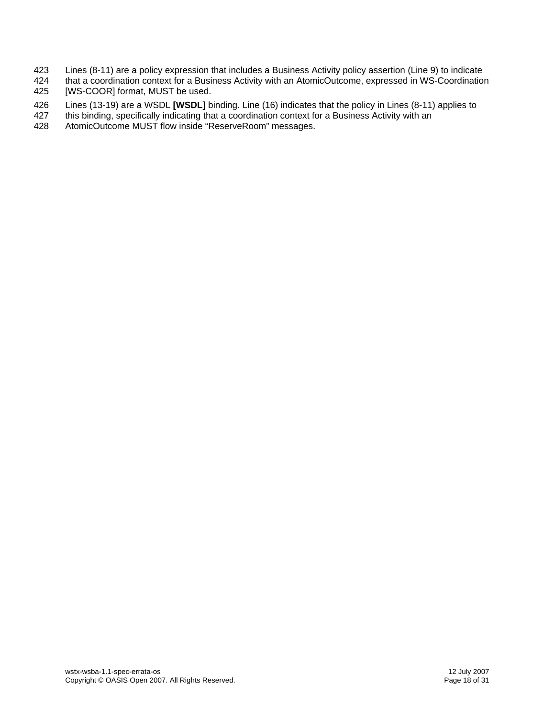- 423 Lines (8-11) are a policy expression that includes a Business Activity policy assertion (Line 9) to indicate
- 424 425 that a coordination context for a Business Activity with an AtomicOutcome, expressed in WS-Coordination [WS-COOR] format, MUST be used.
- 426 Lines (13-19) are a WSDL **[\[WSDL\]](#page-7-0)** binding. Line (16) indicates that the policy in Lines (8-11) applies to
- 427 this binding, specifically indicating that a coordination context for a Business Activity with an
- 428 AtomicOutcome MUST flow inside "ReserveRoom" messages.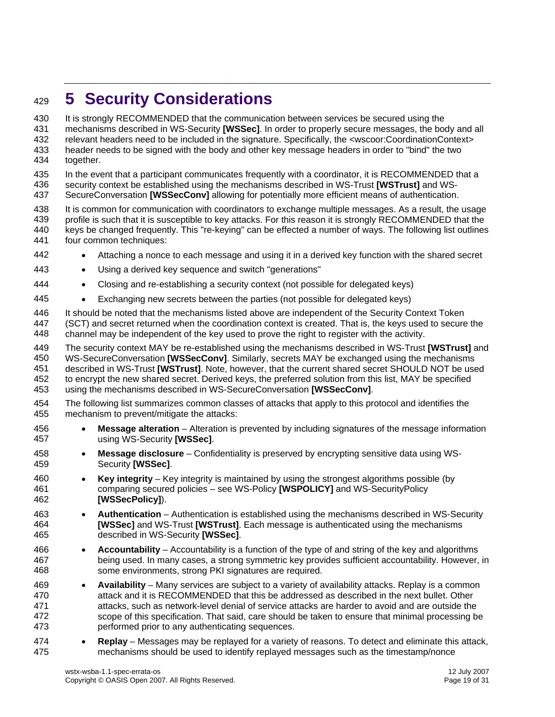## <span id="page-18-0"></span><sup>429</sup>**5 Security Considerations**

It is strongly RECOMMENDED that the communication between services be secured using the mechanisms described in WS-Security **[\[WSSec\]](#page-7-3)**. In order to properly secure messages, the body and all 430 431 432 433 434 relevant headers need to be included in the signature. Specifically, the <wscoor:CoordinationContext> header needs to be signed with the body and other key message headers in order to "bind" the two together.

435 436 In the event that a participant communicates frequently with a coordinator, it is RECOMMENDED that a security context be established using the mechanisms described in WS-Trust **[\[WSTrust\]](#page-7-5)** and WS-

437 SecureConversation **[\[WSSecConv\]](#page-7-6)** allowing for potentially more efficient means of authentication.

438 439 440 441 It is common for communication with coordinators to exchange multiple messages. As a result, the usage profile is such that it is susceptible to key attacks. For this reason it is strongly RECOMMENDED that the keys be changed frequently. This "re-keying" can be effected a number of ways. The following list outlines four common techniques:

- 442 • Attaching a nonce to each message and using it in a derived key function with the shared secret
- 443 Using a derived key sequence and switch "generations"
- 444 • Closing and re-establishing a security context (not possible for delegated keys)
- 445 • Exchanging new secrets between the parties (not possible for delegated keys)

446 447 448 It should be noted that the mechanisms listed above are independent of the Security Context Token (SCT) and secret returned when the coordination context is created. That is, the keys used to secure the channel may be independent of the key used to prove the right to register with the activity.

449 450 451 452 453 The security context MAY be re-established using the mechanisms described in WS-Trust **[\[WSTrust\]](#page-7-5)** and WS-SecureConversation **[\[WSSecConv\]](#page-7-6)**. Similarly, secrets MAY be exchanged using the mechanisms described in WS-Trust **[\[WSTrust\]](#page-7-5)**. Note, however, that the current shared secret SHOULD NOT be used to encrypt the new shared secret. Derived keys, the preferred solution from this list, MAY be specified using the mechanisms described in WS-SecureConversation **[\[WSSecConv\]](#page-7-6)**.

- 454 455 The following list summarizes common classes of attacks that apply to this protocol and identifies the mechanism to prevent/mitigate the attacks:
- 456 457 • **Message alteration** – Alteration is prevented by including signatures of the message information using WS-Security **[\[WSSec\]](#page-7-3)**.
- 458 459 • **Message disclosure** – Confidentiality is preserved by encrypting sensitive data using WS-Security **[\[WSSec\]](#page-7-3)**.
- 460 461 462 • **Key integrity** – Key integrity is maintained by using the strongest algorithms possible (by comparing secured policies – see WS-Policy **[\[WSPOLICY\]](#page-7-2)** and WS-SecurityPolicy **[\[WSSecPolicy\]](#page-7-7)**).
- 463 464 465 • **Authentication** – Authentication is established using the mechanisms described in WS-Security **[\[WSSec\]](#page-7-3)** and WS-Trust **[\[WSTrust\]](#page-7-5)**. Each message is authenticated using the mechanisms described in WS-Security **[\[WSSec\]](#page-7-3)**.
- 466 467 468 • **Accountability** – Accountability is a function of the type of and string of the key and algorithms being used. In many cases, a strong symmetric key provides sufficient accountability. However, in some environments, strong PKI signatures are required.
- 469 470 471 472 473 • **Availability** – Many services are subject to a variety of availability attacks. Replay is a common attack and it is RECOMMENDED that this be addressed as described in the next bullet. Other attacks, such as network-level denial of service attacks are harder to avoid and are outside the scope of this specification. That said, care should be taken to ensure that minimal processing be performed prior to any authenticating sequences.
- 474 475 • **Replay** – Messages may be replayed for a variety of reasons. To detect and eliminate this attack, mechanisms should be used to identify replayed messages such as the timestamp/nonce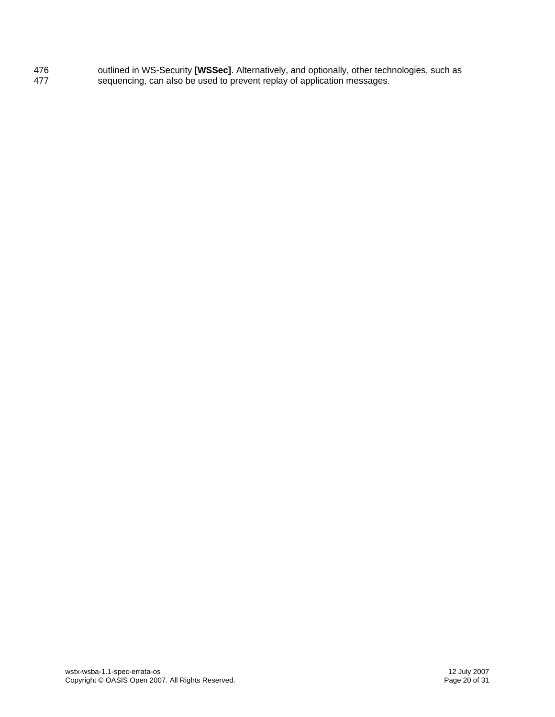476 477 outlined in WS-Security **[WSSec]**. Alternatively, and optionally, other technologies, such as sequencing, can also be used to prevent replay of application messages.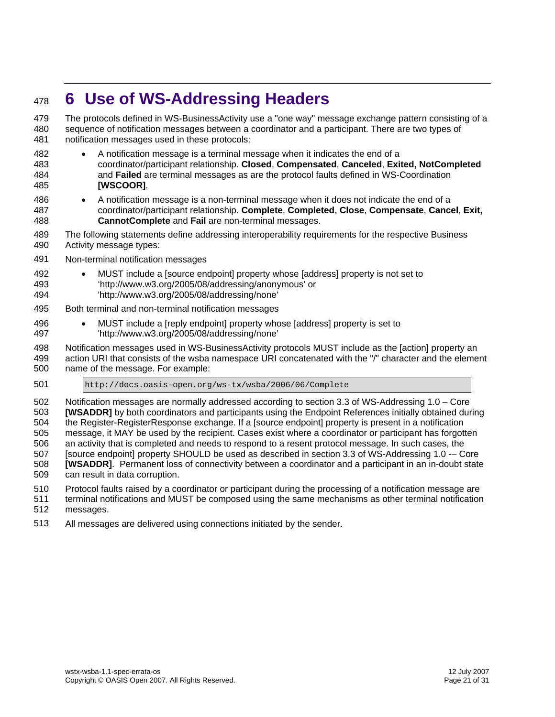## <span id="page-20-0"></span><sup>478</sup>**6 Use of WS-Addressing Headers**

The protocols defined in WS-BusinessActivity use a "one way" message exchange pattern consisting of a sequence of notification messages between a coordinator and a participant. There are two types of notification messages used in these protocols: 479 480 481

- 482 483 484 485 • A notification message is a terminal message when it indicates the end of a coordinator/participant relationship. **Closed**, **Compensated**, **Canceled**, **Exited, NotCompleted** and **Failed** are terminal messages as are the protocol faults defined in WS-Coordination **[\[WSCOOR\]](#page-6-3)**.
- 486 487 488 • A notification message is a non-terminal message when it does not indicate the end of a coordinator/participant relationship. **Complete**, **Completed**, **Close**, **Compensate**, **Cancel**, **Exit, CannotComplete** and **Fail** are non-terminal messages.
- 489 490 The following statements define addressing interoperability requirements for the respective Business Activity message types:
- 491 Non-terminal notification messages
- 492 493 • MUST include a [source endpoint] property whose [address] property is not set to 'http://www.w3.org/2005/08/addressing/anonymous' or
- 494 'http://www.w3.org/2005/08/addressing/none'
- 495 Both terminal and non-terminal notification messages
- 496 497 • MUST include a [reply endpoint] property whose [address] property is set to 'http://www.w3.org/2005/08/addressing/none'
- 498 Notification messages used in WS-BusinessActivity protocols MUST include as the [action] property an
- 499 500 action URI that consists of the wsba namespace URI concatenated with the "/" character and the element name of the message. For example:
- 501 http://docs.oasis-open.org/ws-tx/wsba/2006/06/Complete

502 503 504 505 506 507 508 509 Notification messages are normally addressed according to section 3.3 of WS-Addressing 1.0 – Core **[\[WSADDR\]](#page-7-1)** by both coordinators and participants using the Endpoint References initially obtained during the Register-RegisterResponse exchange. If a [source endpoint] property is present in a notification message, it MAY be used by the recipient. Cases exist where a coordinator or participant has forgotten an activity that is completed and needs to respond to a resent protocol message. In such cases, the [source endpoint] property SHOULD be used as described in section 3.3 of WS-Addressing 1.0 -– Core **[\[WSADDR\]](#page-7-1)**. Permanent loss of connectivity between a coordinator and a participant in an in-doubt state can result in data corruption.

- 510 Protocol faults raised by a coordinator or participant during the processing of a notification message are
- 511 512 terminal notifications and MUST be composed using the same mechanisms as other terminal notification messages.
- 513 All messages are delivered using connections initiated by the sender.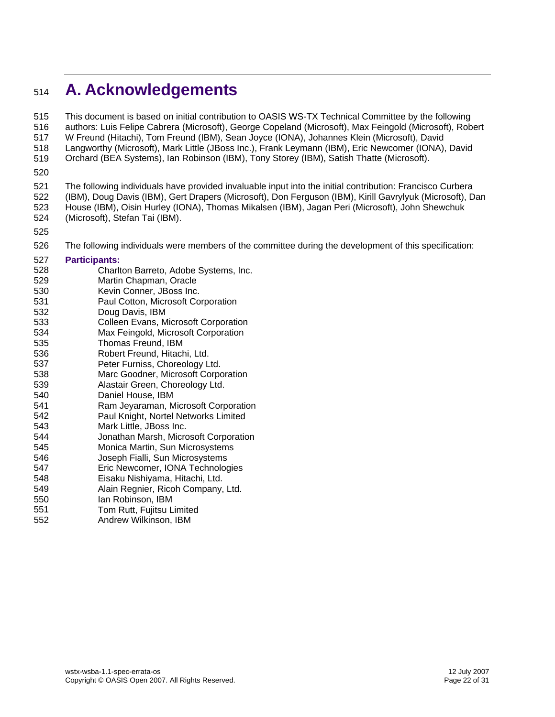## <span id="page-21-0"></span><sup>514</sup>**A. Acknowledgements**

This document is based on initial contribution to OASIS WS-TX Technical Committee by the following authors: Luis Felipe Cabrera (Microsoft), George Copeland (Microsoft), Max Feingold (Microsoft), Robert W Freund (Hitachi), Tom Freund (IBM), Sean Joyce (IONA), Johannes Klein (Microsoft), David Langworthy (Microsoft), Mark Little (JBoss Inc.), Frank Leymann (IBM), Eric Newcomer (IONA), David Orchard (BEA Systems), Ian Robinson (IBM), Tony Storey (IBM), Satish Thatte (Microsoft). 515 516 517 518 519

520

521 522 523 524 The following individuals have provided invaluable input into the initial contribution: Francisco Curbera (IBM), Doug Davis (IBM), Gert Drapers (Microsoft), Don Ferguson (IBM), Kirill Gavrylyuk (Microsoft), Dan House (IBM), Oisin Hurley (IONA), Thomas Mikalsen (IBM), Jagan Peri (Microsoft), John Shewchuk (Microsoft), Stefan Tai (IBM).

525

526 The following individuals were members of the committee during the development of this specification:

#### 527 **Participants:**

- 528 Charlton Barreto, Adobe Systems, Inc.
- 529 Martin Chapman, Oracle
- 530 Kevin Conner, JBoss Inc.
- 531 532 Paul Cotton, Microsoft Corporation Doug Davis, IBM
- 533 Colleen Evans, Microsoft Corporation
- 534 Max Feingold, Microsoft Corporation
- 535 Thomas Freund, IBM
- 536 Robert Freund, Hitachi, Ltd.
- 537 Peter Furniss, Choreology Ltd.
- 538 Marc Goodner, Microsoft Corporation
- 539 Alastair Green, Choreology Ltd.
- 540 Daniel House, IBM
- 541 Ram Jeyaraman, Microsoft Corporation
- 542 543 Paul Knight, Nortel Networks Limited Mark Little, JBoss Inc.
- 544 Jonathan Marsh, Microsoft Corporation
- 545 Monica Martin, Sun Microsystems
- 546 Joseph Fialli, Sun Microsystems
- 547 Eric Newcomer, IONA Technologies
- 548 Eisaku Nishiyama, Hitachi, Ltd.
- 549 Alain Regnier, Ricoh Company, Ltd.
- 550 Ian Robinson, IBM
- 551 Tom Rutt, Fujitsu Limited
- 552 Andrew Wilkinson, IBM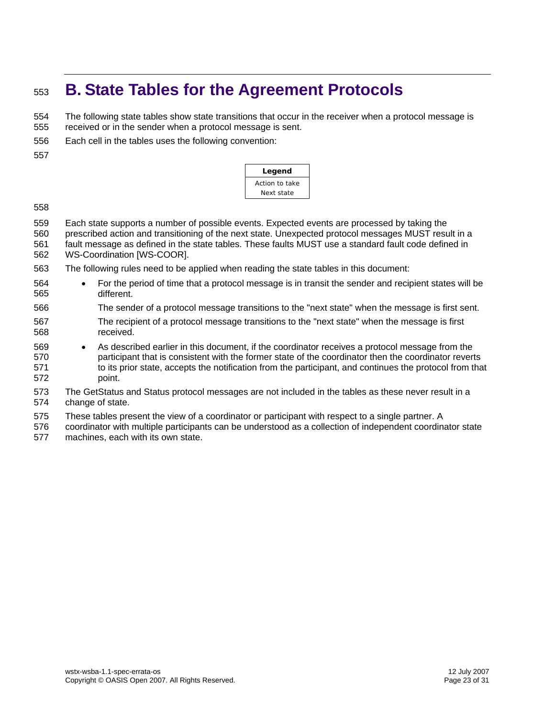## <span id="page-22-0"></span><sup>553</sup>**B. State Tables for the Agreement Protocols**

The following state tables show state transitions that occur in the receiver when a protocol message is received or in the sender when a protocol message is sent. 554 555

556 Each cell in the tables uses the following convention:

557

| Legend         |  |  |  |  |  |  |  |  |
|----------------|--|--|--|--|--|--|--|--|
| Action to take |  |  |  |  |  |  |  |  |
| Next state     |  |  |  |  |  |  |  |  |

558

559 Each state supports a number of possible events. Expected events are processed by taking the

560 prescribed action and transitioning of the next state. Unexpected protocol messages MUST result in a

- 561 562 fault message as defined in the state tables. These faults MUST use a standard fault code defined in WS-Coordination [WS-COOR].
- 563 The following rules need to be applied when reading the state tables in this document:
- 564 565 • For the period of time that a protocol message is in transit the sender and recipient states will be different.
- 566 The sender of a protocol message transitions to the "next state" when the message is first sent.
- 567 568 The recipient of a protocol message transitions to the "next state" when the message is first received.
- 569 570 571 572 • As described earlier in this document, if the coordinator receives a protocol message from the participant that is consistent with the former state of the coordinator then the coordinator reverts to its prior state, accepts the notification from the participant, and continues the protocol from that point.
- 573 574 The GetStatus and Status protocol messages are not included in the tables as these never result in a change of state.
- 575 These tables present the view of a coordinator or participant with respect to a single partner. A
- 576 577 coordinator with multiple participants can be understood as a collection of independent coordinator state machines, each with its own state.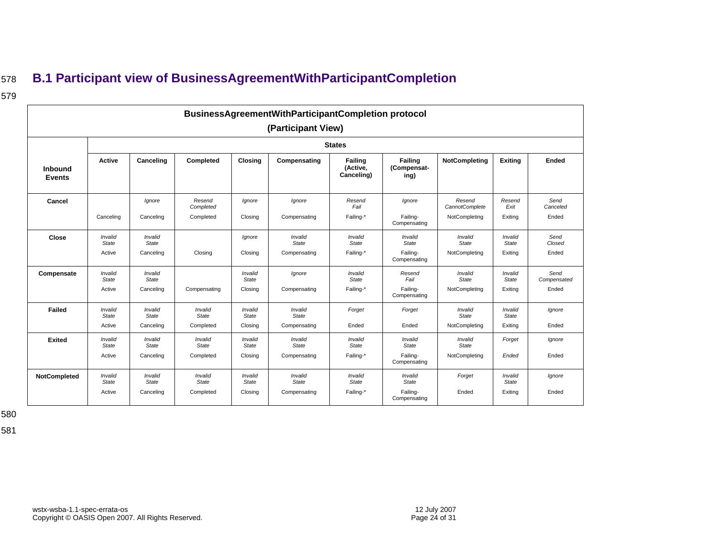## <sup>578</sup>**B.1 Participant view of BusinessAgreementWithParticipantCompletion**

### 579

|                          | <b>BusinessAgreementWithParticipantCompletion protocol</b> |                         |                     |                         |                    |                                          |                                |                          |                         |                     |  |  |  |  |  |
|--------------------------|------------------------------------------------------------|-------------------------|---------------------|-------------------------|--------------------|------------------------------------------|--------------------------------|--------------------------|-------------------------|---------------------|--|--|--|--|--|
|                          |                                                            |                         |                     |                         | (Participant View) |                                          |                                |                          |                         |                     |  |  |  |  |  |
|                          |                                                            |                         |                     |                         |                    | <b>States</b>                            |                                |                          |                         |                     |  |  |  |  |  |
| Inbound<br><b>Events</b> | Active                                                     | Canceling               | Completed           | <b>Closing</b>          | Compensating       | <b>Failing</b><br>(Active,<br>Canceling) | Failing<br>(Compensat-<br>ing) | <b>NotCompleting</b>     | <b>Exiting</b>          | <b>Ended</b>        |  |  |  |  |  |
| Cancel                   |                                                            | lgnore                  | Resend<br>Completed | Ignore                  | lanore             | Resend<br>Fail                           | lgnore                         | Resend<br>CannotComplete | Resend<br>Exit          | Send<br>Canceled    |  |  |  |  |  |
|                          | Canceling                                                  | Canceling               | Completed           | Closing                 | Compensating       | Failing-*                                | Failing-<br>Compensating       | NotCompleting            | Exiting                 | Ended               |  |  |  |  |  |
| <b>Close</b>             | Invalid<br>State                                           | Invalid<br><b>State</b> |                     | Ignore                  | Invalid<br>State   | Invalid<br>State                         | Invalid<br>State               | Invalid<br>State         | Invalid<br><b>State</b> | Send<br>Closed      |  |  |  |  |  |
|                          | Active                                                     | Canceling               | Closing             | Closing                 | Compensating       | Failing-*                                | Failing-<br>Compensating       | NotCompleting            | Exiting                 | Ended               |  |  |  |  |  |
| Compensate               | Invalid<br>State                                           | Invalid<br>State        |                     | Invalid<br>State        | Ignore             | Invalid<br>State                         | Resend<br>Fail                 | Invalid<br>State         | Invalid<br>State        | Send<br>Compensated |  |  |  |  |  |
|                          | Active                                                     | Canceling               | Compensating        | Closing                 | Compensating       | Failing-*                                | Failing-<br>Compensating       | NotCompleting            | Exiting                 | Ended               |  |  |  |  |  |
| Failed                   | Invalid<br>State                                           | Invalid<br>State        | Invalid<br>State    | Invalid<br>State        | Invalid<br>State   | Forget                                   | Forget                         | Invalid<br>State         | Invalid<br>State        | Ignore              |  |  |  |  |  |
|                          | Active                                                     | Canceling               | Completed           | Closing                 | Compensating       | Ended                                    | Ended                          | NotCompleting            | Exiting                 | Ended               |  |  |  |  |  |
| <b>Exited</b>            | Invalid<br><b>State</b>                                    | Invalid<br>State        | Invalid<br>State    | Invalid<br><b>State</b> | Invalid<br>State   | Invalid<br><b>State</b>                  | Invalid<br>State               | Invalid<br>State         | Forget                  | lgnore              |  |  |  |  |  |
|                          | Active                                                     | Canceling               | Completed           | Closina                 | Compensating       | Failing-*                                | Failing-<br>Compensating       | NotCompleting            | Ended                   | Ended               |  |  |  |  |  |
| NotCompleted             | Invalid<br>State                                           | Invalid<br>State        | Invalid<br>State    | Invalid<br>State        | Invalid<br>State   | Invalid<br>State                         | Invalid<br>State               | Forget                   | Invalid<br>State        | Ignore              |  |  |  |  |  |
|                          | Active                                                     | Canceling               | Completed           | Closing                 | Compensating       | Failing-*                                | Failing-<br>Compensating       | Ended                    | Exiting                 | Ended               |  |  |  |  |  |

<span id="page-23-0"></span>580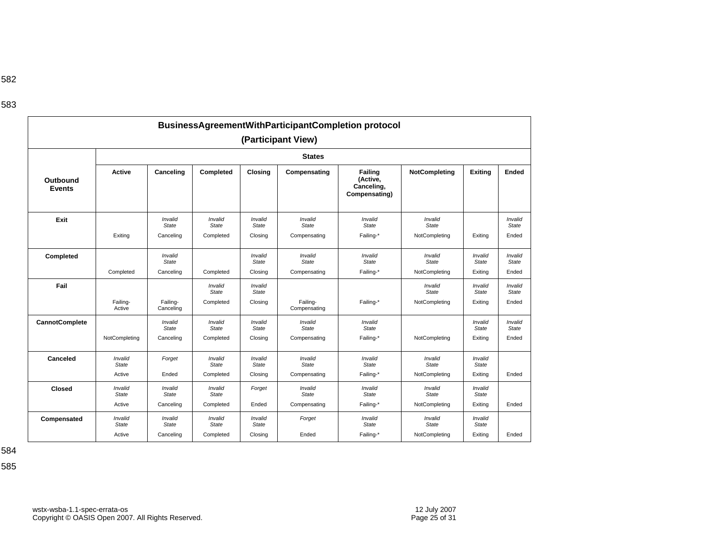|                           |                                   |                                      |                                      |                                    | (Participant View)                      | BusinessAgreementWithParticipantCompletion protocol |                                          |                                    |
|---------------------------|-----------------------------------|--------------------------------------|--------------------------------------|------------------------------------|-----------------------------------------|-----------------------------------------------------|------------------------------------------|------------------------------------|
|                           |                                   |                                      |                                      |                                    | <b>States</b>                           |                                                     |                                          |                                    |
| Outbound<br><b>Events</b> | Active                            | Canceling                            | Completed                            | Closing                            | Compensating                            | Failing<br>(Active,<br>Canceling,<br>Compensating)  | NotCompleting                            | <b>Exiting</b>                     |
| Exit                      | Exiting                           | Invalid<br><b>State</b><br>Canceling | Invalid<br><b>State</b><br>Completed | Invalid<br>State<br>Closing        | Invalid<br><b>State</b><br>Compensating | Invalid<br><b>State</b><br>Failing-*                | Invalid<br><b>State</b><br>NotCompleting | Exiting                            |
| Completed                 |                                   | Invalid                              |                                      | Invalid                            | Invalid                                 | Invalid                                             | Invalid                                  | Invalid                            |
|                           | Completed                         | State<br>Canceling                   | Completed                            | State<br>Closing                   | <b>State</b><br>Compensating            | <b>State</b><br>Failing-*                           | State<br>NotCompleting                   | <b>State</b><br>Exiting            |
| Fail                      |                                   |                                      | Invalid<br><b>State</b>              | Invalid<br>State                   |                                         |                                                     | Invalid<br>State                         | Invalid<br><b>State</b>            |
|                           | Failing-<br>Active                | Failing-<br>Canceling                | Completed                            | Closing                            | Failing-<br>Compensating                | Failing-*                                           | NotCompleting                            | Exiting                            |
| <b>CannotComplete</b>     | NotCompleting                     | Invalid<br><b>State</b><br>Canceling | Invalid<br><b>State</b><br>Completed | Invalid<br>State<br>Closing        | Invalid<br><b>State</b><br>Compensating | Invalid<br><b>State</b><br>Failing-*                | NotCompleting                            | Invalid<br><b>State</b><br>Exiting |
| Canceled                  | Invalid<br><b>State</b><br>Active | Forget<br>Ended                      | Invalid<br>State<br>Completed        | Invalid<br><b>State</b><br>Closing | Invalid<br>State<br>Compensating        | Invalid<br>State<br>Failing-*                       | Invalid<br>State<br>NotCompleting        | Invalid<br>State<br>Exiting        |
| <b>Closed</b>             | Invalid<br><b>State</b>           | Invalid<br><b>State</b>              | Invalid<br>State                     | Forget                             | Invalid<br>State                        | Invalid<br>State                                    | Invalid<br><b>State</b>                  | Invalid<br>State                   |
| Compensated               | Active<br>Invalid<br><b>State</b> | Canceling<br>Invalid<br><b>State</b> | Completed<br>Invalid<br><b>State</b> | Ended<br>Invalid<br>State          | Compensating<br>Forget                  | Failing-*<br>Invalid<br><b>State</b>                | NotCompleting<br>Invalid<br><b>State</b> | Exiting<br>Invalid<br><b>State</b> |
|                           | Active                            | Canceling                            | Completed                            | Closing                            | Ended                                   | Failing-*                                           | NotCompleting                            | Exiting                            |

584

585

**Ended** 

*Invalid State*  Ended

> *Invalid State*  Ended

> *Invalid State*  Ended

> *Invalid State*  Ended

Ended

Ended

Ended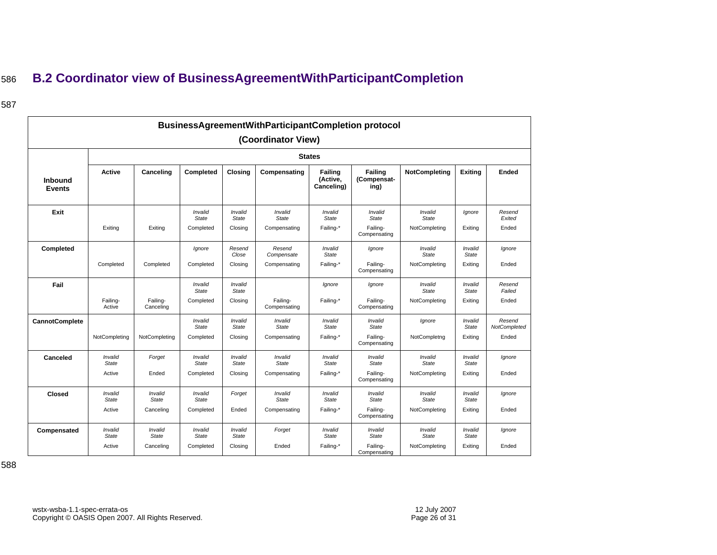## <sup>586</sup>**B.2 Coordinator view of BusinessAgreementWithParticipantCompletion**

### 587

<span id="page-25-0"></span>

|                                 |                         |                         |                         |                         |                          | <b>BusinessAgreementWithParticipantCompletion protocol</b> |                                       |                                |                         |                        |  |  |  |  |  |  |  |  |  |
|---------------------------------|-------------------------|-------------------------|-------------------------|-------------------------|--------------------------|------------------------------------------------------------|---------------------------------------|--------------------------------|-------------------------|------------------------|--|--|--|--|--|--|--|--|--|
|                                 |                         |                         |                         |                         | (Coordinator View)       |                                                            |                                       |                                |                         |                        |  |  |  |  |  |  |  |  |  |
|                                 |                         |                         |                         |                         |                          | <b>States</b>                                              |                                       |                                |                         |                        |  |  |  |  |  |  |  |  |  |
| <b>Inbound</b><br><b>Events</b> | Active                  | Canceling               | Completed               | <b>Closing</b>          | Compensating             | <b>Failing</b><br>(Active,<br>Canceling)                   | <b>Failing</b><br>(Compensat-<br>ing) | NotCompleting                  | <b>Exiting</b>          | Ended                  |  |  |  |  |  |  |  |  |  |
| Exit                            |                         |                         | Invalid<br><b>State</b> | Invalid<br><b>State</b> | Invalid<br><b>State</b>  | Invalid<br><b>State</b>                                    | Invalid<br>State                      | Invalid<br><b>State</b>        | lgnore                  | Resend<br>Exited       |  |  |  |  |  |  |  |  |  |
|                                 | Exiting                 | Exiting                 | Completed               | Closing                 | Compensating             | Failing-*                                                  | Failing-<br>Compensating              | NotCompleting                  | Exiting                 | Ended                  |  |  |  |  |  |  |  |  |  |
| Completed                       |                         |                         | Ignore                  | Resend<br>Close         | Resend<br>Compensate     | Invalid<br><b>State</b>                                    | Ignore                                | Invalid<br><b>State</b>        | Invalid<br><b>State</b> | Ignore                 |  |  |  |  |  |  |  |  |  |
|                                 | Completed               | Completed               | Completed               | Closing                 | Compensating             | Failing-*                                                  | Failing-<br>Compensating              | NotCompleting                  | Exiting                 | Ended                  |  |  |  |  |  |  |  |  |  |
| Fail                            |                         |                         | Invalid<br>State        | Invalid<br><b>State</b> |                          | lgnore                                                     | Ignore                                | Invalid<br><b>State</b>        | Invalid<br><b>State</b> | Resend<br>Failed       |  |  |  |  |  |  |  |  |  |
|                                 | Failing-<br>Active      | Failing-<br>Canceling   | Completed               | Closing                 | Failing-<br>Compensating | Failing-*                                                  | Failing-<br>Compensating              | NotCompleting                  | Exiting                 | Ended                  |  |  |  |  |  |  |  |  |  |
| <b>CannotComplete</b>           |                         |                         | Invalid<br><b>State</b> | Invalid<br><b>State</b> | Invalid<br><b>State</b>  | Invalid<br><b>State</b>                                    | Invalid<br><b>State</b>               | lgnore                         | Invalid<br>State        | Resend<br>NotCompleted |  |  |  |  |  |  |  |  |  |
|                                 | NotCompleting           | NotCompleting           | Completed               | Closing                 | Compensating             | Failing-*                                                  | Failing-<br>Compensating              | NotCompletng                   | Exiting                 | Ended                  |  |  |  |  |  |  |  |  |  |
| Canceled                        | Invalid<br><b>State</b> | Forget                  | Invalid<br><b>State</b> | Invalid<br><b>State</b> | Invalid<br><b>State</b>  | Invalid<br><b>State</b>                                    | Invalid<br><b>State</b>               | Invalid<br>State               | Invalid<br><b>State</b> | Ignore                 |  |  |  |  |  |  |  |  |  |
|                                 | Active                  | Ended                   | Completed               | Closing                 | Compensating             | Failing-*                                                  | Failing-<br>Compensating              | NotCompleting                  | Exiting                 | Ended                  |  |  |  |  |  |  |  |  |  |
| <b>Closed</b>                   | Invalid<br><b>State</b> | Invalid<br><b>State</b> | Invalid<br><b>State</b> | Forget                  | Invalid<br><b>State</b>  | Invalid<br><b>State</b>                                    | Invalid<br><b>State</b>               | Invalid<br><b>State</b>        | Invalid<br><b>State</b> | Ignore                 |  |  |  |  |  |  |  |  |  |
|                                 | Active                  | Canceling               | Completed               | Ended                   | Compensating             | Failing-*                                                  | Failing-<br>Compensating              | NotCompleting                  | Exiting                 | Ended                  |  |  |  |  |  |  |  |  |  |
| Compensated                     | Invalid<br><b>State</b> | Invalid<br><b>State</b> | Invalid<br><b>State</b> | Invalid<br><b>State</b> | Forget                   | Invalid<br><b>State</b>                                    | Invalid<br><b>State</b>               | <b>Invalid</b><br><b>State</b> | Invalid<br><b>State</b> | Ignore                 |  |  |  |  |  |  |  |  |  |
|                                 | Active                  | Canceling               | Completed               | Closing                 | Ended                    | Failing-*                                                  | Failing-<br>Compensating              | NotCompleting                  | Exitina                 | Ended                  |  |  |  |  |  |  |  |  |  |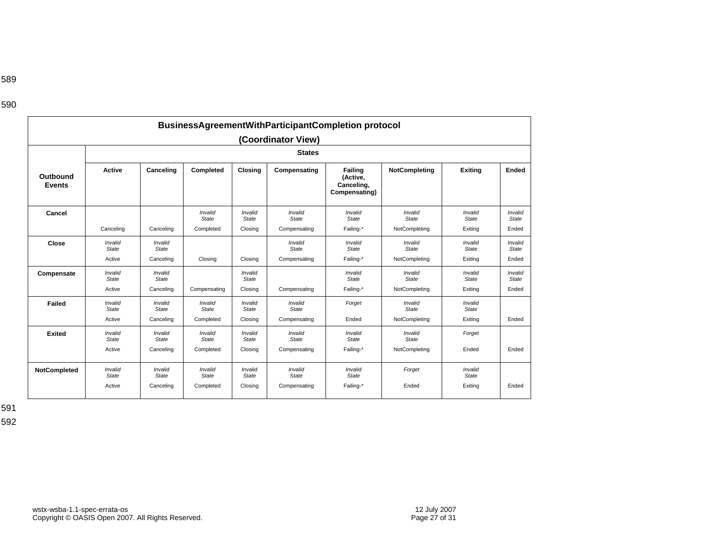| ×<br>۰. | ×<br>۰, | ×<br>۰. |  |
|---------|---------|---------|--|

589

|                           |                                   |                                      |                                      |                                    | (Coordinator View)                      | <b>BusinessAgreementWithParticipantCompletion protocol</b> |                                   |                                    |                                  |
|---------------------------|-----------------------------------|--------------------------------------|--------------------------------------|------------------------------------|-----------------------------------------|------------------------------------------------------------|-----------------------------------|------------------------------------|----------------------------------|
|                           |                                   |                                      |                                      |                                    | <b>States</b>                           |                                                            |                                   |                                    |                                  |
| Outbound<br><b>Events</b> | <b>Active</b>                     | Canceling                            | Completed                            | Closing                            | Compensating                            | Failing<br>(Active,<br>Canceling,<br>Compensating)         | NotCompleting                     | <b>Exiting</b>                     | Ended                            |
| Cancel                    | Canceling                         | Canceling                            | Invalid<br><b>State</b><br>Completed | Invalid<br><b>State</b><br>Closing | Invalid<br><b>State</b><br>Compensating | Invalid<br><b>State</b><br>Failing-*                       | Invalid<br>State<br>NotCompleting | Invalid<br><b>State</b><br>Exiting | Invalid<br><b>State</b><br>Ended |
| Close                     | Invalid<br><b>State</b><br>Active | Invalid<br>State<br>Canceling        | Closing                              | Closing                            | Invalid<br>State<br>Compensating        | Invalid<br>State<br>Failing-*                              | Invalid<br>State<br>NotCompleting | Invalid<br>State<br>Exiting        | Invalid<br><b>State</b><br>Ended |
| Compensate                | Invalid<br>State<br>Active        | Invalid<br>State<br>Canceling        | Compensating                         | Invalid<br><b>State</b><br>Closing | Compensating                            | Invalid<br>State<br>Failing-*                              | Invalid<br>State<br>NotCompleting | Invalid<br>State<br>Exiting        | Invalid<br><b>State</b><br>Ended |
| Failed                    | Invalid<br>State<br>Active        | Invalid<br><b>State</b><br>Canceling | Invalid<br>State<br>Completed        | Invalid<br>State<br>Closing        | Invalid<br>State<br>Compensating        | Forget<br>Ended                                            | Invalid<br>State<br>NotCompleting | Invalid<br>State<br>Exiting        | Ended                            |
| <b>Exited</b>             | Invalid<br>State<br>Active        | Invalid<br><b>State</b><br>Canceling | Invalid<br><b>State</b><br>Completed | Invalid<br><b>State</b><br>Closing | Invalid<br>State<br>Compensating        | Invalid<br>State<br>Failing-*                              | Invalid<br>State<br>NotCompleting | Forget<br>Ended                    | Ended                            |
| <b>NotCompleted</b>       | Invalid<br>State<br>Active        | Invalid<br><b>State</b><br>Canceling | Invalid<br>State<br>Completed        | Invalid<br>State<br>Closing        | Invalid<br>State<br>Compensating        | Invalid<br>State<br>Failing-*                              | Forget<br>Ended                   | Invalid<br>State<br>Exiting        | Ended                            |

591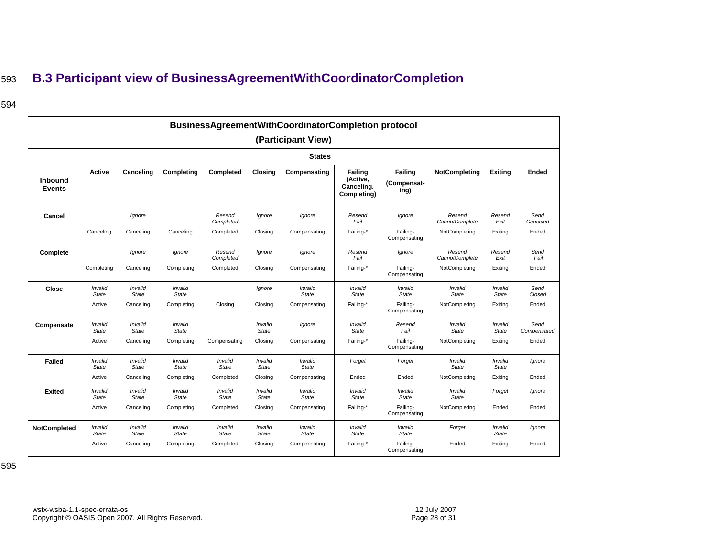## <sup>593</sup>**B.3 Participant view of BusinessAgreementWithCoordinatorCompletion**

### 594

<span id="page-27-0"></span>

|                                 |                  |                         |                         |                         |                         | BusinessAgreementWithCoordinatorCompletion protocol |                                                         |                                       |                          |                         |                     |
|---------------------------------|------------------|-------------------------|-------------------------|-------------------------|-------------------------|-----------------------------------------------------|---------------------------------------------------------|---------------------------------------|--------------------------|-------------------------|---------------------|
|                                 |                  |                         |                         |                         |                         | (Participant View)                                  |                                                         |                                       |                          |                         |                     |
|                                 |                  |                         |                         |                         |                         | <b>States</b>                                       |                                                         |                                       |                          |                         |                     |
| <b>Inbound</b><br><b>Events</b> | <b>Active</b>    | Canceling               | Completing              | Completed               | <b>Closing</b>          | Compensating                                        | <b>Failing</b><br>(Active,<br>Canceling,<br>Completing) | <b>Failing</b><br>(Compensat-<br>ing) | NotCompleting            | <b>Exiting</b>          | Ended               |
| Cancel                          |                  | lgnore                  |                         | Resend<br>Completed     | Ignore                  | Ignore                                              | Resend<br>Fail                                          | Ignore                                | Resend<br>CannotComplete | Resend<br>Exit          | Send<br>Canceled    |
|                                 | Canceling        | Canceling               | Canceling               | Completed               | Closing                 | Compensating                                        | Failing-*                                               | Failing-<br>Compensating              | NotCompleting            | Exiting                 | Ended               |
| Complete                        |                  | lgnore                  | Ignore                  | Resend<br>Completed     | Ignore                  | Ignore                                              | Resend<br>Fail                                          | Ignore                                | Resend<br>CannotComplete | Resend<br>Exit          | Send<br>Fail        |
|                                 | Completing       | Canceling               | Completing              | Completed               | Closing                 | Compensating                                        | Failing-*                                               | Failing-<br>Compensating              | NotCompleting            | Exiting                 | Ended               |
| Close                           | Invalid<br>State | Invalid<br>State        | Invalid<br><b>State</b> |                         | Ignore                  | Invalid<br><b>State</b>                             | Invalid<br><b>State</b>                                 | Invalid<br><b>State</b>               | Invalid<br><b>State</b>  | Invalid<br><b>State</b> | Send<br>Closed      |
|                                 | Active           | Canceling               | Completing              | Closing                 | Closing                 | Compensating                                        | Failing-*                                               | Failing-<br>Compensating              | NotCompleting            | Exiting                 | Ended               |
| Compensate                      | Invalid<br>State | Invalid<br>State        | Invalid<br><b>State</b> |                         | Invalid<br><b>State</b> | Ignore                                              | Invalid<br><b>State</b>                                 | Resend<br>Fail                        | Invalid<br><b>State</b>  | Invalid<br><b>State</b> | Send<br>Compensated |
|                                 | Active           | Canceling               | Completing              | Compensating            | Closing                 | Compensating                                        | Failing-*                                               | Failing-<br>Compensating              | NotCompleting            | Exiting                 | Ended               |
| Failed                          | Invalid<br>State | Invalid<br><b>State</b> | Invalid<br><b>State</b> | Invalid<br>State        | Invalid<br><b>State</b> | Invalid<br><b>State</b>                             | Forget                                                  | Forget                                | Invalid<br><b>State</b>  | Invalid<br>State        | lgnore              |
|                                 | Active           | Canceling               | Completing              | Completed               | Closing                 | Compensating                                        | Ended                                                   | Ended                                 | NotCompleting            | Exiting                 | Ended               |
| <b>Exited</b>                   | Invalid<br>State | Invalid<br>State        | Invalid<br><b>State</b> | Invalid<br><b>State</b> | Invalid<br><b>State</b> | Invalid<br><b>State</b>                             | Invalid<br><b>State</b>                                 | Invalid<br><b>State</b>               | Invalid<br><b>State</b>  | Forget                  | Ignore              |
|                                 | Active           | Canceling               | Completing              | Completed               | Closing                 | Compensating                                        | Failing-*                                               | Failing-<br>Compensating              | NotCompleting            | Ended                   | Ended               |
| NotCompleted                    | Invalid<br>State | Invalid<br>State        | Invalid<br><b>State</b> | Invalid<br><b>State</b> | Invalid<br><b>State</b> | Invalid<br>State                                    | Invalid<br><b>State</b>                                 | Invalid<br>State                      | Forget                   | Invalid<br>State        | Ignore              |
|                                 | Active           | Canceling               | Completing              | Completed               | Closing                 | Compensating                                        | Failing-*                                               | Failing-<br>Compensating              | Ended                    | Exiting                 | Ended               |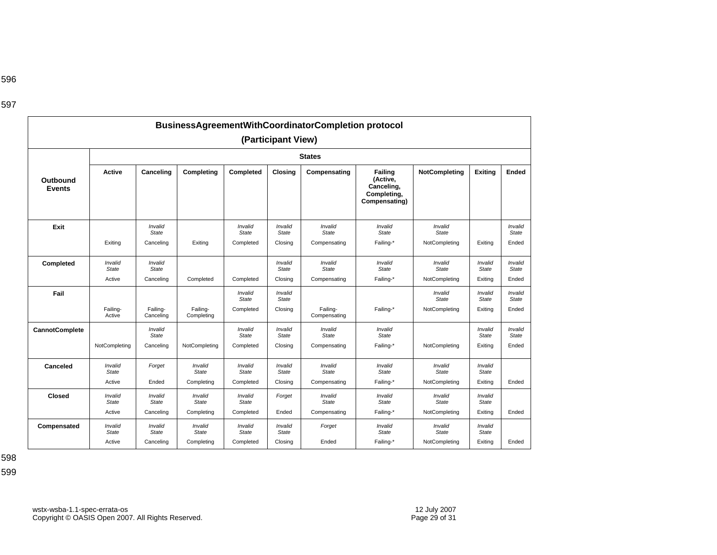|                           |                                |                                       |                         |                         | (Participant View)      | BusinessAgreementWithCoordinatorCompletion protocol |                                                                   |                         |                         |                         |
|---------------------------|--------------------------------|---------------------------------------|-------------------------|-------------------------|-------------------------|-----------------------------------------------------|-------------------------------------------------------------------|-------------------------|-------------------------|-------------------------|
|                           |                                |                                       |                         |                         | <b>States</b>           |                                                     |                                                                   |                         |                         |                         |
| Outbound<br><b>Events</b> | <b>Active</b>                  | Canceling                             | Completing              | Completed               | Closing                 | Compensating                                        | Failing<br>(Active,<br>Canceling,<br>Completing,<br>Compensating) | <b>NotCompleting</b>    | <b>Exiting</b>          | Ended                   |
| Exit                      |                                | Invalid<br><b>State</b>               |                         | Invalid<br>State        | Invalid<br><b>State</b> | Invalid<br><b>State</b>                             | Invalid<br><b>State</b>                                           | Invalid<br><b>State</b> |                         | Invalid<br>State        |
|                           | Exiting                        | Canceling                             | Exiting                 | Completed               | Closing                 | Compensating                                        | Failing-*                                                         | NotCompleting           | Exiting                 | Ended                   |
| Completed                 | <b>Invalid</b><br><b>State</b> | Invalid<br>State                      |                         |                         | Invalid<br>State        | Invalid<br><b>State</b>                             | Invalid<br>State                                                  | Invalid<br><b>State</b> | Invalid<br><b>State</b> | Invalid<br><b>State</b> |
|                           | Active                         | Canceling                             | Completed               | Completed               | Closing                 | Compensating                                        | Failing-*                                                         | NotCompleting           | Exiting                 | Ended                   |
| Fail                      |                                |                                       |                         | Invalid<br><b>State</b> | Invalid<br>State        |                                                     |                                                                   | Invalid<br><b>State</b> | Invalid<br><b>State</b> | Invalid<br><b>State</b> |
|                           | Failing-<br>Active             | Failing-<br>Canceling                 | Failing-<br>Completing  | Completed               | Closing                 | Failing-<br>Compensating                            | Failing-*                                                         | NotCompleting           | Exiting                 | Ended                   |
| <b>CannotComplete</b>     |                                | <i><b>Invalid</b></i><br><b>State</b> |                         | Invalid<br><b>State</b> | Invalid<br><b>State</b> | Invalid<br><b>State</b>                             | Invalid<br><b>State</b>                                           |                         | Invalid<br>State        | Invalid<br><b>State</b> |
|                           | NotCompleting                  | Canceling                             | NotCompleting           | Completed               | Closing                 | Compensating                                        | Failing-*                                                         | NotCompleting           | Exiting                 | Ended                   |
| Canceled                  | Invalid<br>State               | Forget                                | Invalid<br><b>State</b> | Invalid<br><b>State</b> | Invalid<br>State        | Invalid<br><b>State</b>                             | Invalid<br>State                                                  | Invalid<br><b>State</b> | Invalid<br><b>State</b> |                         |
|                           | Active                         | Ended                                 | Completing              | Completed               | Closing                 | Compensating                                        | Failing-*                                                         | NotCompleting           | Exiting                 | Ended                   |
| Closed                    | <b>Invalid</b><br><b>State</b> | Invalid<br><b>State</b>               | Invalid<br><b>State</b> | Invalid<br>State        | Forget                  | Invalid<br><b>State</b>                             | Invalid<br><b>State</b>                                           | Invalid<br><b>State</b> | Invalid<br><b>State</b> |                         |
|                           | Active                         | Canceling                             | Completing              | Completed               | Ended                   | Compensating                                        | Failing-*                                                         | NotCompleting           | Exiting                 | Ended                   |
| Compensated               | <b>Invalid</b><br><b>State</b> | Invalid<br><b>State</b>               | Invalid<br><b>State</b> | Invalid<br><b>State</b> | Invalid<br><b>State</b> | Forget                                              | Invalid<br><b>State</b>                                           | Invalid<br><b>State</b> | Invalid<br><b>State</b> |                         |
|                           | Active                         | Canceling                             | Completing              | Completed               | Closing                 | Ended                                               | Failing-*                                                         | NotCompleting           | Exiting                 | Ended                   |

598 599

596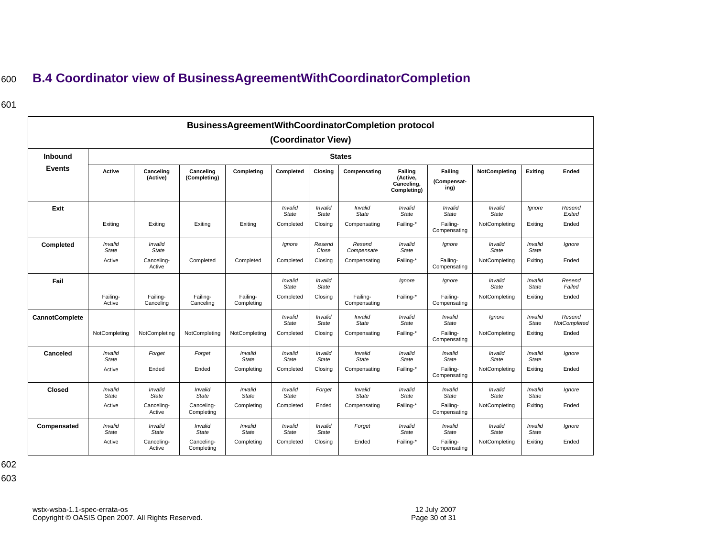## <sup>600</sup>**B.4 Coordinator view of BusinessAgreementWithCoordinatorCompletion**

### 601

<span id="page-29-0"></span>

|                       |                    |                       |                           |                        |                         |                  | BusinessAgreementWithCoordinatorCompletion protocol |                                                  |                                |                         |                  |                        |  |  |  |
|-----------------------|--------------------|-----------------------|---------------------------|------------------------|-------------------------|------------------|-----------------------------------------------------|--------------------------------------------------|--------------------------------|-------------------------|------------------|------------------------|--|--|--|
|                       |                    |                       |                           |                        | (Coordinator View)      |                  |                                                     |                                                  |                                |                         |                  |                        |  |  |  |
| Inbound               | <b>States</b>      |                       |                           |                        |                         |                  |                                                     |                                                  |                                |                         |                  |                        |  |  |  |
| <b>Events</b>         | Active             | Canceling<br>(Active) | Canceling<br>(Completing) | Completing             | Completed               | Closing          | Compensating                                        | Failing<br>(Active,<br>Canceling,<br>Completing) | Failing<br>(Compensat-<br>ing) | <b>NotCompleting</b>    | Exiting          | Ended                  |  |  |  |
| Exit                  |                    |                       |                           |                        | Invalid<br><b>State</b> | Invalid<br>State | Invalid<br><b>State</b>                             | Invalid<br>State                                 | Invalid<br>State               | Invalid<br>State        | Ignore           | Resend<br>Exited       |  |  |  |
|                       | Exiting            | Exiting               | Exiting                   | Exiting                | Completed               | Closing          | Compensating                                        | Failing-*                                        | Failing-<br>Compensating       | NotCompleting           | Exiting          | Ended                  |  |  |  |
| Completed             | Invalid<br>State   | Invalid<br>State      |                           |                        | Ignore                  | Resend<br>Close  | Resend<br>Compensate                                | Invalid<br>State                                 | lanore                         | Invalid<br><b>State</b> | Invalid<br>State | lgnore                 |  |  |  |
|                       | Active             | Canceling-<br>Active  | Completed                 | Completed              | Completed               | Closing          | Compensating                                        | Failing-*                                        | Failing-<br>Compensating       | NotCompleting           | Exiting          | Ended                  |  |  |  |
| Fail                  |                    |                       |                           |                        | Invalid<br><b>State</b> | Invalid<br>State |                                                     | Ignore                                           | Ignore                         | Invalid<br><b>State</b> | Invalid<br>State | Resend<br>Failed       |  |  |  |
|                       | Failing-<br>Active | Failing-<br>Canceling | Failing-<br>Canceling     | Failing-<br>Completing | Completed               | Closing          | Failing-<br>Compensating                            | Failing-*                                        | Failing-<br>Compensating       | NotCompleting           | Exiting          | Ended                  |  |  |  |
| <b>CannotComplete</b> |                    |                       |                           |                        | Invalid<br><b>State</b> | Invalid<br>State | Invalid<br><b>State</b>                             | Invalid<br>State                                 | Invalid<br><b>State</b>        | Ignore                  | Invalid<br>State | Resend<br>NotCompleted |  |  |  |
|                       | NotCompleting      | NotCompleting         | NotCompleting             | NotCompleting          | Completed               | Closing          | Compensating                                        | Failing-*                                        | Failing-<br>Compensating       | NotCompleting           | Exiting          | Ended                  |  |  |  |
| Canceled              | Invalid<br>State   | Forget                | Forget                    | Invalid<br>State       | Invalid<br><b>State</b> | Invalid<br>State | Invalid<br><b>State</b>                             | Invalid<br>State                                 | Invalid<br><b>State</b>        | Invalid<br><b>State</b> | Invalid<br>State | lgnore                 |  |  |  |
|                       | Active             | Ended                 | Ended                     | Completing             | Completed               | Closing          | Compensating                                        | Failing-*                                        | Failing-<br>Compensating       | NotCompleting           | Exiting          | Ended                  |  |  |  |
| <b>Closed</b>         | Invalid<br>State   | Invalid<br>State      | Invalid<br>State          | Invalid<br>State       | Invalid<br><b>State</b> | Forget           | Invalid<br><b>State</b>                             | Invalid<br>State                                 | Invalid<br><b>State</b>        | Invalid<br><b>State</b> | Invalid<br>State | lgnore                 |  |  |  |
|                       | Active             | Canceling-<br>Active  | Canceling-<br>Completing  | Completing             | Completed               | Ended            | Compensating                                        | Failing-*                                        | Failing-<br>Compensating       | NotCompleting           | Exiting          | Ended                  |  |  |  |
| Compensated           | Invalid<br>State   | Invalid<br>State      | Invalid<br>State          | Invalid<br>State       | Invalid<br><b>State</b> | Invalid<br>State | Forget                                              | Invalid<br>State                                 | Invalid<br>State               | Invalid<br><b>State</b> | Invalid<br>State | lgnore                 |  |  |  |
|                       | Active             | Canceling-<br>Active  | Canceling-<br>Completing  | Completing             | Completed               | Closing          | Ended                                               | Failing-*                                        | Failing-<br>Compensating       | NotCompleting           | Exiting          | Ended                  |  |  |  |